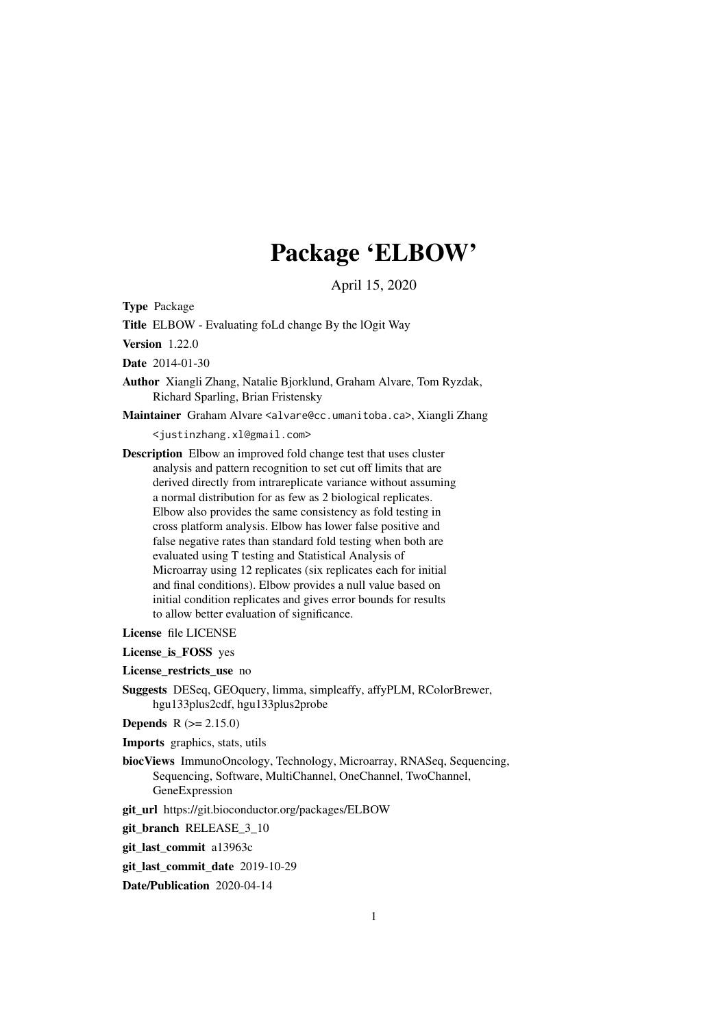# Package 'ELBOW'

April 15, 2020

Type Package

Title ELBOW - Evaluating foLd change By the lOgit Way

Version 1.22.0

Date 2014-01-30

Author Xiangli Zhang, Natalie Bjorklund, Graham Alvare, Tom Ryzdak, Richard Sparling, Brian Fristensky

Maintainer Graham Alvare <alvare@cc.umanitoba.ca>, Xiangli Zhang

<justinzhang.xl@gmail.com>

Description Elbow an improved fold change test that uses cluster analysis and pattern recognition to set cut off limits that are derived directly from intrareplicate variance without assuming a normal distribution for as few as 2 biological replicates. Elbow also provides the same consistency as fold testing in cross platform analysis. Elbow has lower false positive and false negative rates than standard fold testing when both are evaluated using T testing and Statistical Analysis of Microarray using 12 replicates (six replicates each for initial and final conditions). Elbow provides a null value based on initial condition replicates and gives error bounds for results to allow better evaluation of significance.

License file LICENSE

License is FOSS yes

License\_restricts\_use no

Suggests DESeq, GEOquery, limma, simpleaffy, affyPLM, RColorBrewer, hgu133plus2cdf, hgu133plus2probe

**Depends**  $R (= 2.15.0)$ 

Imports graphics, stats, utils

biocViews ImmunoOncology, Technology, Microarray, RNASeq, Sequencing, Sequencing, Software, MultiChannel, OneChannel, TwoChannel, GeneExpression

git\_url https://git.bioconductor.org/packages/ELBOW

git\_branch\_RELEASE\_3\_10

git\_last\_commit a13963c

git\_last\_commit\_date 2019-10-29

Date/Publication 2020-04-14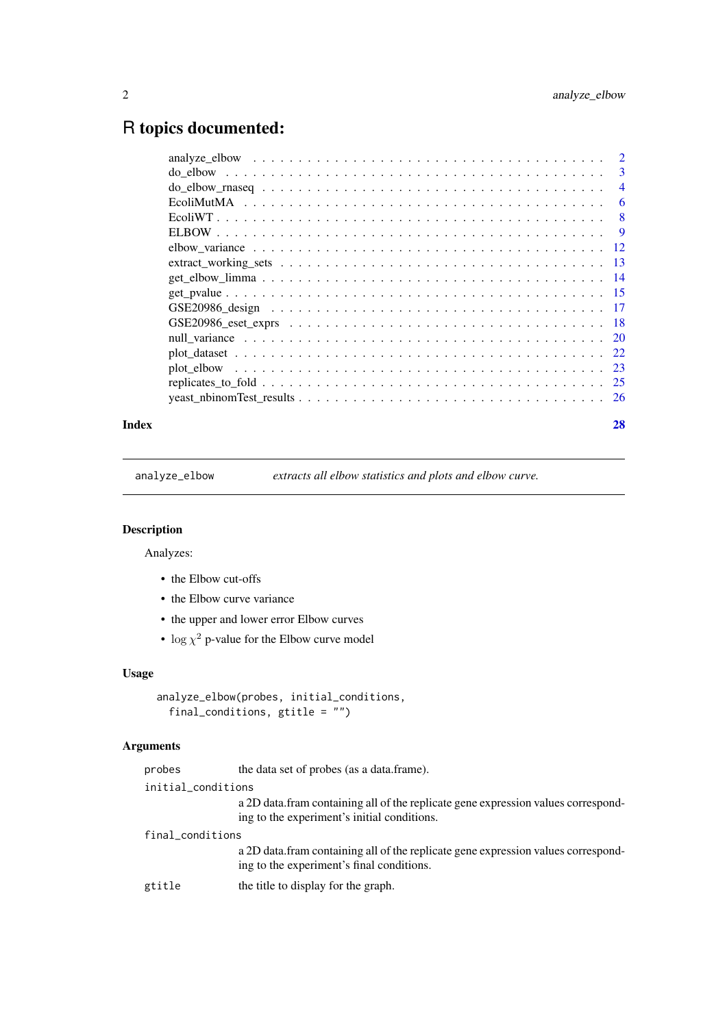## <span id="page-1-0"></span>R topics documented:

| $\mathbf{3}$   |
|----------------|
| $\overline{4}$ |
| 6              |
| 8              |
| -9             |
|                |
|                |
|                |
|                |
|                |
|                |
|                |
|                |
|                |
|                |
|                |
|                |

#### **Index [28](#page-27-0) Propose 28 Propose 28 Propose 28 Propose 28 Propose 28 Propose 28 Propose 28 Propose 28 Propose 28 Pro**

<span id="page-1-1"></span>analyze\_elbow *extracts all elbow statistics and plots and elbow curve.*

## Description

Analyzes:

- the Elbow cut-offs
- the Elbow curve variance
- the upper and lower error Elbow curves
- $\log \chi^2$  p-value for the Elbow curve model

#### Usage

```
analyze_elbow(probes, initial_conditions,
  final_conditions, gtitle = "")
```
#### Arguments

| probes             | the data set of probes (as a data.frame).                                                                                         |
|--------------------|-----------------------------------------------------------------------------------------------------------------------------------|
| initial_conditions |                                                                                                                                   |
|                    | a 2D data. fram containing all of the replicate gene expression values correspond-<br>ing to the experiment's initial conditions. |
| final_conditions   |                                                                                                                                   |
|                    | a 2D data. fram containing all of the replicate gene expression values correspond-<br>ing to the experiment's final conditions.   |
| gtitle             | the title to display for the graph.                                                                                               |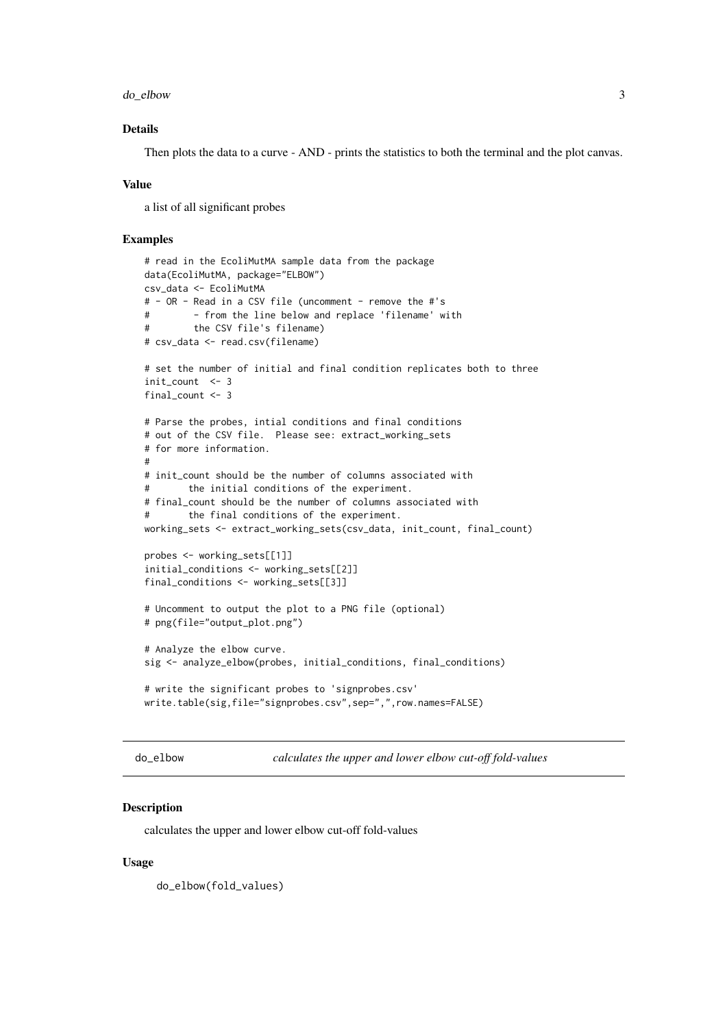<span id="page-2-0"></span>do\_elbow 3

#### Details

Then plots the data to a curve - AND - prints the statistics to both the terminal and the plot canvas.

#### Value

a list of all significant probes

#### Examples

```
# read in the EcoliMutMA sample data from the package
data(EcoliMutMA, package="ELBOW")
csv_data <- EcoliMutMA
# - OR - Read in a CSV file (uncomment - remove the #'s
# - from the line below and replace 'filename' with
# the CSV file's filename)
# csv_data <- read.csv(filename)
# set the number of initial and final condition replicates both to three
init count <- 3final_count <- 3
# Parse the probes, intial conditions and final conditions
# out of the CSV file. Please see: extract_working_sets
# for more information.
#
# init_count should be the number of columns associated with
# the initial conditions of the experiment.
# final_count should be the number of columns associated with
# the final conditions of the experiment.
working_sets <- extract_working_sets(csv_data, init_count, final_count)
probes <- working_sets[[1]]
initial_conditions <- working_sets[[2]]
final_conditions <- working_sets[[3]]
# Uncomment to output the plot to a PNG file (optional)
# png(file="output_plot.png")
# Analyze the elbow curve.
sig <- analyze_elbow(probes, initial_conditions, final_conditions)
# write the significant probes to 'signprobes.csv'
write.table(sig,file="signprobes.csv",sep=",",row.names=FALSE)
```
<span id="page-2-1"></span>do\_elbow *calculates the upper and lower elbow cut-off fold-values*

#### Description

calculates the upper and lower elbow cut-off fold-values

#### Usage

do\_elbow(fold\_values)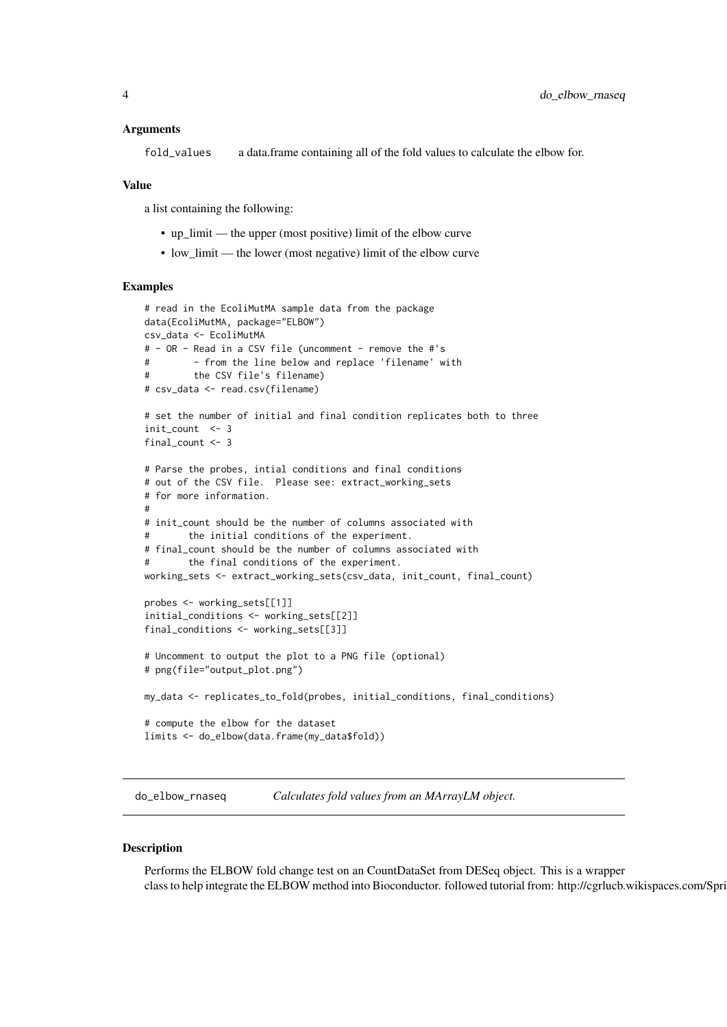#### <span id="page-3-0"></span>Arguments

fold\_values a data.frame containing all of the fold values to calculate the elbow for.

#### Value

a list containing the following:

- up\_limit the upper (most positive) limit of the elbow curve
- low\_limit the lower (most negative) limit of the elbow curve

#### Examples

```
# read in the EcoliMutMA sample data from the package
data(EcoliMutMA, package="ELBOW")
csv_data <- EcoliMutMA
# - OR - Read in a CSV file (uncomment - remove the #'s
# - from the line below and replace 'filename' with
# the CSV file's filename)
# csv_data <- read.csv(filename)
# set the number of initial and final condition replicates both to three
init_count <- 3
final_count <- 3
# Parse the probes, intial conditions and final conditions
# out of the CSV file. Please see: extract_working_sets
# for more information.
#
# init_count should be the number of columns associated with
# the initial conditions of the experiment.
# final_count should be the number of columns associated with
# the final conditions of the experiment.
working_sets <- extract_working_sets(csv_data, init_count, final_count)
probes <- working_sets[[1]]
initial_conditions <- working_sets[[2]]
final_conditions <- working_sets[[3]]
# Uncomment to output the plot to a PNG file (optional)
# png(file="output_plot.png")
my_data <- replicates_to_fold(probes, initial_conditions, final_conditions)
# compute the elbow for the dataset
limits <- do_elbow(data.frame(my_data$fold))
```
do\_elbow\_rnaseq *Calculates fold values from an MArrayLM object.*

#### Description

Performs the ELBOW fold change test on an CountDataSet from DESeq object. This is a wrapper class to help integrate the ELBOW method into Bioconductor. followed tutorial from: http://cgrlucb.wikispaces.com/Spri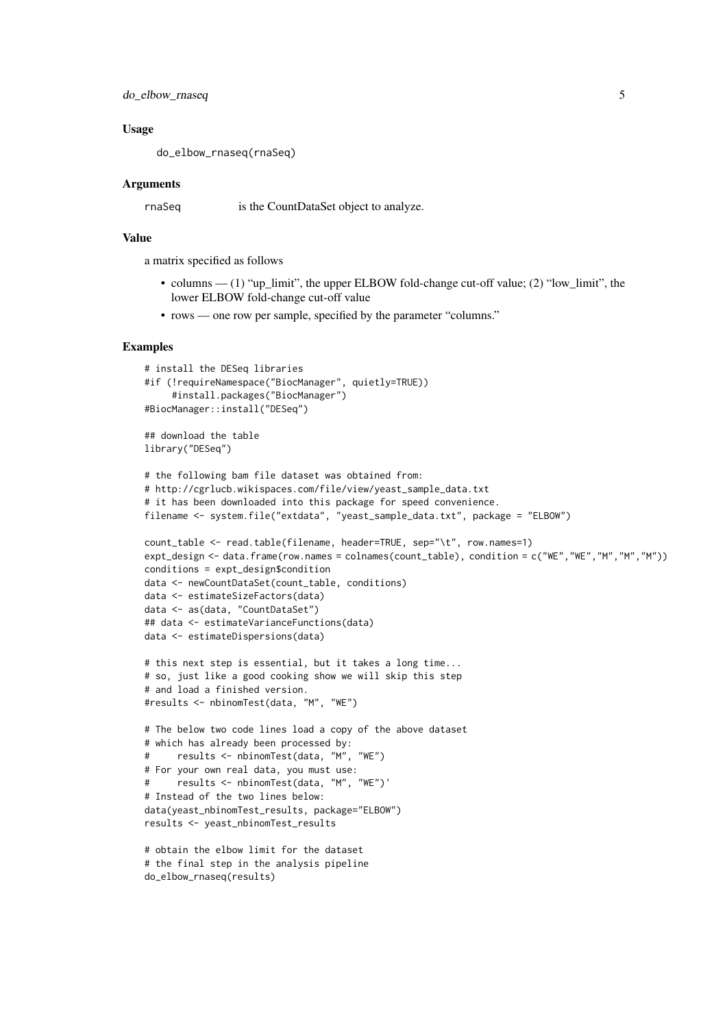```
do_elbow_rnaseq 5
```
#### Usage

do\_elbow\_rnaseq(rnaSeq)

#### Arguments

rnaSeq is the CountDataSet object to analyze.

#### Value

a matrix specified as follows

- columns (1) "up\_limit", the upper ELBOW fold-change cut-off value; (2) "low\_limit", the lower ELBOW fold-change cut-off value
- rows one row per sample, specified by the parameter "columns."

```
# install the DESeq libraries
#if (!requireNamespace("BiocManager", quietly=TRUE))
     #install.packages("BiocManager")
#BiocManager::install("DESeq")
## download the table
library("DESeq")
# the following bam file dataset was obtained from:
# http://cgrlucb.wikispaces.com/file/view/yeast_sample_data.txt
# it has been downloaded into this package for speed convenience.
filename <- system.file("extdata", "yeast_sample_data.txt", package = "ELBOW")
count_table <- read.table(filename, header=TRUE, sep="\t", row.names=1)
expt_design <- data.frame(row.names = colnames(count_table), condition = c("WE","WE","M","M","M"))
conditions = expt_design$condition
data <- newCountDataSet(count_table, conditions)
data <- estimateSizeFactors(data)
data <- as(data, "CountDataSet")
## data <- estimateVarianceFunctions(data)
data <- estimateDispersions(data)
# this next step is essential, but it takes a long time...
# so, just like a good cooking show we will skip this step
# and load a finished version.
#results <- nbinomTest(data, "M", "WE")
# The below two code lines load a copy of the above dataset
# which has already been processed by:
# results <- nbinomTest(data, "M", "WE")
# For your own real data, you must use:
# results <- nbinomTest(data, "M", "WE")'
# Instead of the two lines below:
data(yeast_nbinomTest_results, package="ELBOW")
results <- yeast_nbinomTest_results
# obtain the elbow limit for the dataset
# the final step in the analysis pipeline
do_elbow_rnaseq(results)
```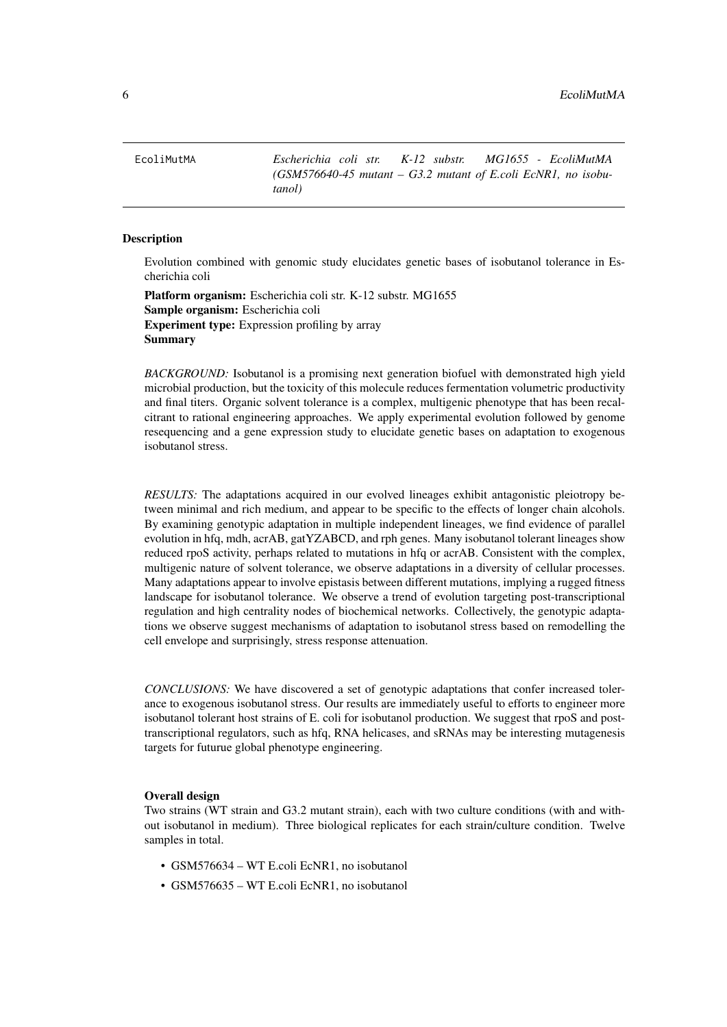<span id="page-5-0"></span>EcoliMutMA *Escherichia coli str. K-12 substr. MG1655 - EcoliMutMA (GSM576640-45 mutant – G3.2 mutant of E.coli EcNR1, no isobutanol)*

#### Description

Evolution combined with genomic study elucidates genetic bases of isobutanol tolerance in Escherichia coli

Platform organism: Escherichia coli str. K-12 substr. MG1655 Sample organism: Escherichia coli Experiment type: Expression profiling by array Summary

*BACKGROUND:* Isobutanol is a promising next generation biofuel with demonstrated high yield microbial production, but the toxicity of this molecule reduces fermentation volumetric productivity and final titers. Organic solvent tolerance is a complex, multigenic phenotype that has been recalcitrant to rational engineering approaches. We apply experimental evolution followed by genome resequencing and a gene expression study to elucidate genetic bases on adaptation to exogenous isobutanol stress.

*RESULTS:* The adaptations acquired in our evolved lineages exhibit antagonistic pleiotropy between minimal and rich medium, and appear to be specific to the effects of longer chain alcohols. By examining genotypic adaptation in multiple independent lineages, we find evidence of parallel evolution in hfq, mdh, acrAB, gatYZABCD, and rph genes. Many isobutanol tolerant lineages show reduced rpoS activity, perhaps related to mutations in hfq or acrAB. Consistent with the complex, multigenic nature of solvent tolerance, we observe adaptations in a diversity of cellular processes. Many adaptations appear to involve epistasis between different mutations, implying a rugged fitness landscape for isobutanol tolerance. We observe a trend of evolution targeting post-transcriptional regulation and high centrality nodes of biochemical networks. Collectively, the genotypic adaptations we observe suggest mechanisms of adaptation to isobutanol stress based on remodelling the cell envelope and surprisingly, stress response attenuation.

*CONCLUSIONS:* We have discovered a set of genotypic adaptations that confer increased tolerance to exogenous isobutanol stress. Our results are immediately useful to efforts to engineer more isobutanol tolerant host strains of E. coli for isobutanol production. We suggest that rpoS and posttranscriptional regulators, such as hfq, RNA helicases, and sRNAs may be interesting mutagenesis targets for futurue global phenotype engineering.

#### Overall design

Two strains (WT strain and G3.2 mutant strain), each with two culture conditions (with and without isobutanol in medium). Three biological replicates for each strain/culture condition. Twelve samples in total.

- GSM576634 WT E.coli EcNR1, no isobutanol
- GSM576635 WT E.coli EcNR1, no isobutanol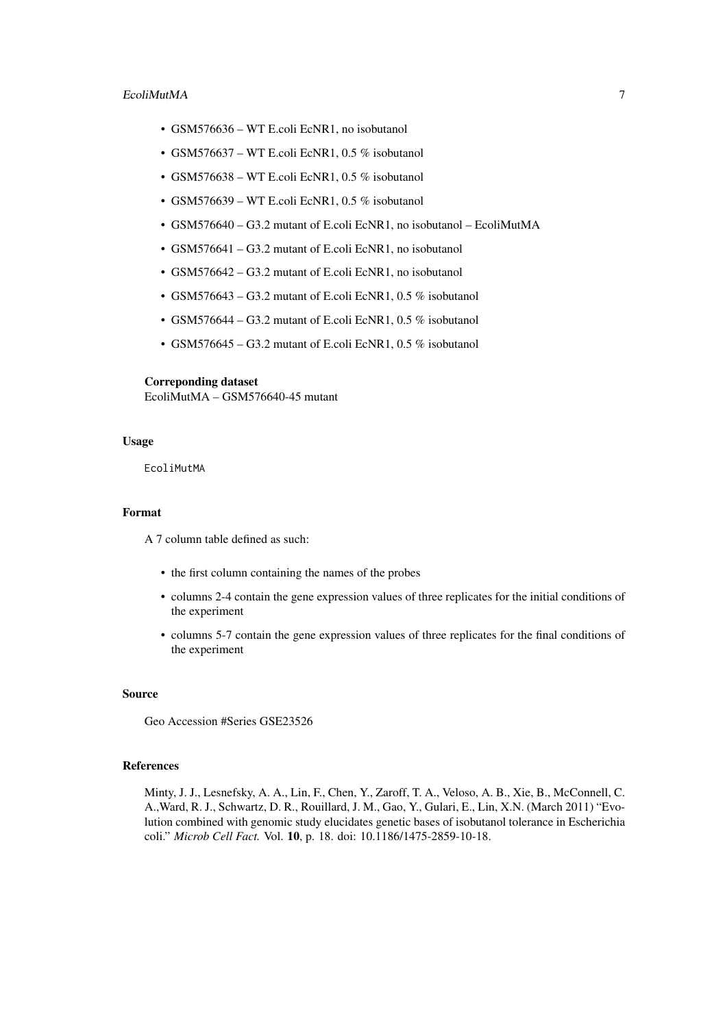#### EcoliMutMA 7

- GSM576636 WT E.coli EcNR1, no isobutanol
- GSM576637 WT E.coli EcNR1, 0.5 % isobutanol
- GSM576638 WT E.coli EcNR1, 0.5 % isobutanol
- GSM576639 WT E.coli EcNR1, 0.5 % isobutanol
- GSM576640 G3.2 mutant of E.coli EcNR1, no isobutanol EcoliMutMA
- GSM576641 G3.2 mutant of E.coli EcNR1, no isobutanol
- GSM576642 G3.2 mutant of E.coli EcNR1, no isobutanol
- GSM576643 G3.2 mutant of E.coli EcNR1, 0.5 % isobutanol
- GSM576644 G3.2 mutant of E.coli EcNR1, 0.5 % isobutanol
- GSM576645 G3.2 mutant of E.coli EcNR1, 0.5 % isobutanol

#### Correponding dataset

EcoliMutMA – GSM576640-45 mutant

#### Usage

EcoliMutMA

#### Format

A 7 column table defined as such:

- the first column containing the names of the probes
- columns 2-4 contain the gene expression values of three replicates for the initial conditions of the experiment
- columns 5-7 contain the gene expression values of three replicates for the final conditions of the experiment

#### Source

Geo Accession #Series GSE23526

#### References

Minty, J. J., Lesnefsky, A. A., Lin, F., Chen, Y., Zaroff, T. A., Veloso, A. B., Xie, B., McConnell, C. A.,Ward, R. J., Schwartz, D. R., Rouillard, J. M., Gao, Y., Gulari, E., Lin, X.N. (March 2011) "Evolution combined with genomic study elucidates genetic bases of isobutanol tolerance in Escherichia coli." *Microb Cell Fact.* Vol. 10, p. 18. doi: 10.1186/1475-2859-10-18.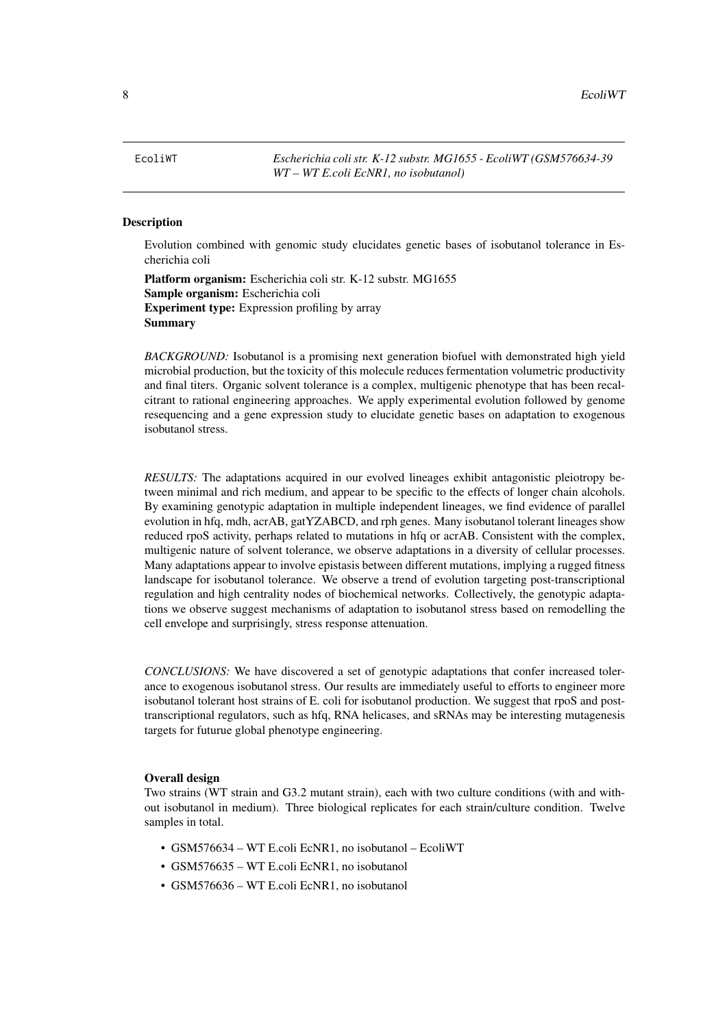<span id="page-7-0"></span>EcoliWT *Escherichia coli str. K-12 substr. MG1655 - EcoliWT (GSM576634-39 WT – WT E.coli EcNR1, no isobutanol)*

#### Description

Evolution combined with genomic study elucidates genetic bases of isobutanol tolerance in Escherichia coli

Platform organism: Escherichia coli str. K-12 substr. MG1655 Sample organism: Escherichia coli Experiment type: Expression profiling by array Summary

*BACKGROUND:* Isobutanol is a promising next generation biofuel with demonstrated high yield microbial production, but the toxicity of this molecule reduces fermentation volumetric productivity and final titers. Organic solvent tolerance is a complex, multigenic phenotype that has been recalcitrant to rational engineering approaches. We apply experimental evolution followed by genome resequencing and a gene expression study to elucidate genetic bases on adaptation to exogenous isobutanol stress.

*RESULTS:* The adaptations acquired in our evolved lineages exhibit antagonistic pleiotropy between minimal and rich medium, and appear to be specific to the effects of longer chain alcohols. By examining genotypic adaptation in multiple independent lineages, we find evidence of parallel evolution in hfq, mdh, acrAB, gatYZABCD, and rph genes. Many isobutanol tolerant lineages show reduced rpoS activity, perhaps related to mutations in hfq or acrAB. Consistent with the complex, multigenic nature of solvent tolerance, we observe adaptations in a diversity of cellular processes. Many adaptations appear to involve epistasis between different mutations, implying a rugged fitness landscape for isobutanol tolerance. We observe a trend of evolution targeting post-transcriptional regulation and high centrality nodes of biochemical networks. Collectively, the genotypic adaptations we observe suggest mechanisms of adaptation to isobutanol stress based on remodelling the cell envelope and surprisingly, stress response attenuation.

*CONCLUSIONS:* We have discovered a set of genotypic adaptations that confer increased tolerance to exogenous isobutanol stress. Our results are immediately useful to efforts to engineer more isobutanol tolerant host strains of E. coli for isobutanol production. We suggest that rpoS and posttranscriptional regulators, such as hfq, RNA helicases, and sRNAs may be interesting mutagenesis targets for futurue global phenotype engineering.

#### Overall design

Two strains (WT strain and G3.2 mutant strain), each with two culture conditions (with and without isobutanol in medium). Three biological replicates for each strain/culture condition. Twelve samples in total.

- GSM576634 WT E.coli EcNR1, no isobutanol EcoliWT
- GSM576635 WT E.coli EcNR1, no isobutanol
- GSM576636 WT E.coli EcNR1, no isobutanol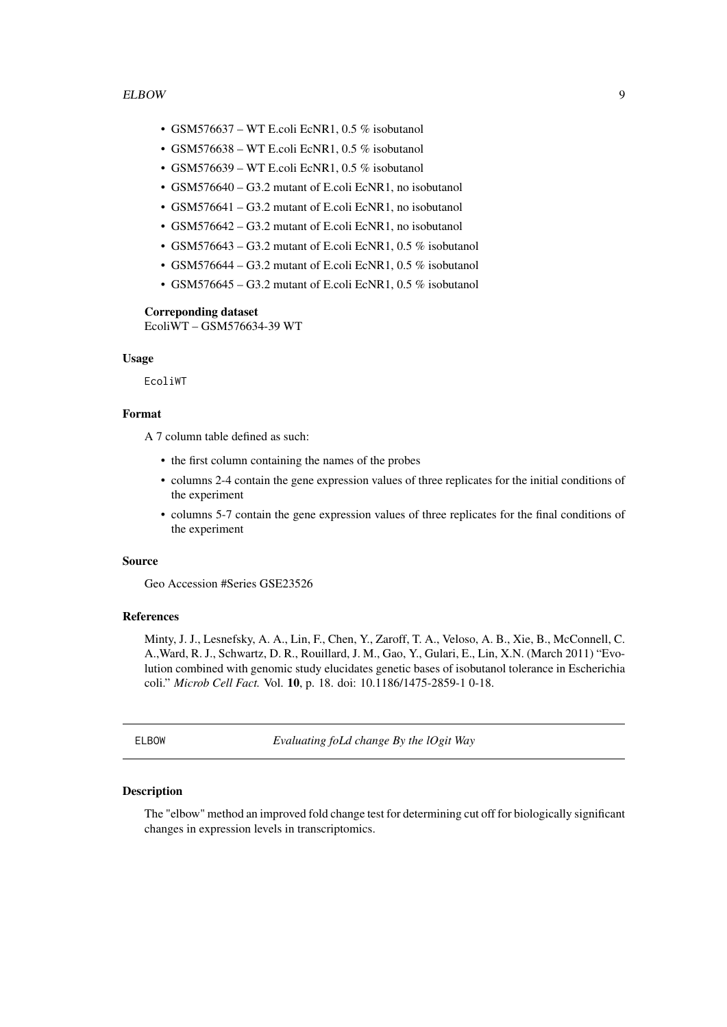#### <span id="page-8-0"></span>ELBOW 99

- GSM576637 WT E.coli EcNR1, 0.5 % isobutanol
- GSM576638 WT E.coli EcNR1, 0.5 % isobutanol
- GSM576639 WT E.coli EcNR1, 0.5 % isobutanol
- GSM576640 G3.2 mutant of E.coli EcNR1, no isobutanol
- GSM576641 G3.2 mutant of E.coli EcNR1, no isobutanol
- GSM576642 G3.2 mutant of E.coli EcNR1, no isobutanol
- GSM576643 G3.2 mutant of E.coli EcNR1, 0.5 % isobutanol
- GSM576644 G3.2 mutant of E.coli EcNR1, 0.5 % isobutanol
- GSM576645 G3.2 mutant of E.coli EcNR1, 0.5 % isobutanol

#### Correponding dataset

EcoliWT – GSM576634-39 WT

#### Usage

EcoliWT

#### Format

A 7 column table defined as such:

- the first column containing the names of the probes
- columns 2-4 contain the gene expression values of three replicates for the initial conditions of the experiment
- columns 5-7 contain the gene expression values of three replicates for the final conditions of the experiment

#### Source

Geo Accession #Series GSE23526

#### References

Minty, J. J., Lesnefsky, A. A., Lin, F., Chen, Y., Zaroff, T. A., Veloso, A. B., Xie, B., McConnell, C. A.,Ward, R. J., Schwartz, D. R., Rouillard, J. M., Gao, Y., Gulari, E., Lin, X.N. (March 2011) "Evolution combined with genomic study elucidates genetic bases of isobutanol tolerance in Escherichia coli." *Microb Cell Fact.* Vol. 10, p. 18. doi: 10.1186/1475-2859-1 0-18.

ELBOW *Evaluating foLd change By the lOgit Way*

#### Description

The "elbow" method an improved fold change test for determining cut off for biologically significant changes in expression levels in transcriptomics.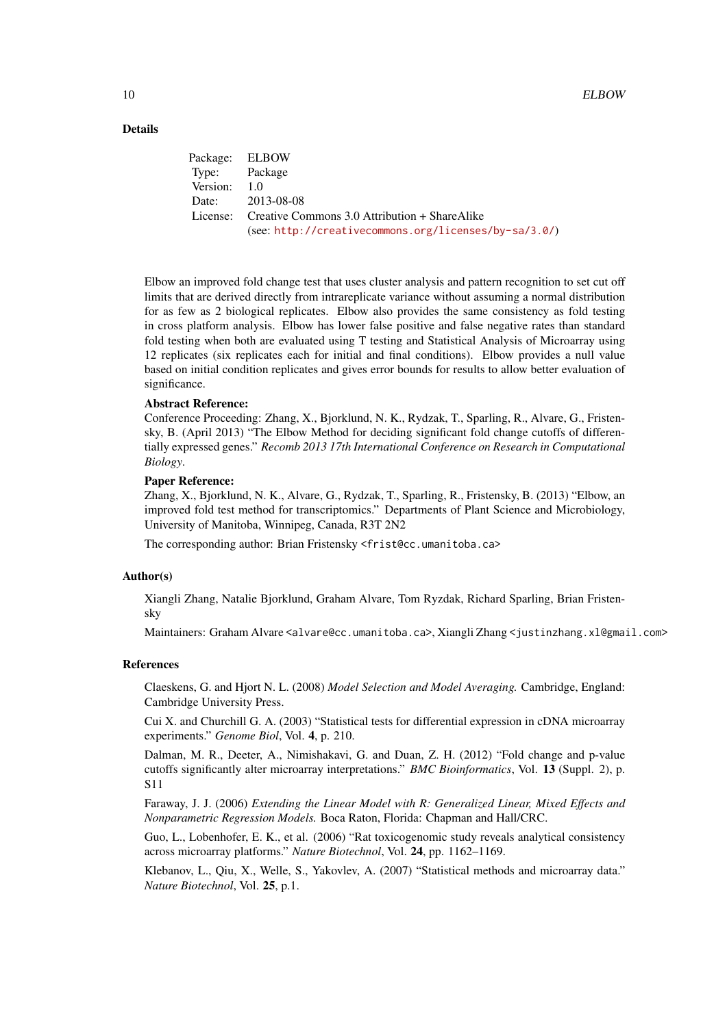#### Details

|               | Package: ELBOW                                         |
|---------------|--------------------------------------------------------|
| Type: Package |                                                        |
| Version: 1.0  |                                                        |
|               | Date: 2013-08-08                                       |
|               | License: Creative Commons 3.0 Attribution + ShareAlike |
|               | (see: http://creativecommons.org/licenses/by-sa/3.0/)  |

Elbow an improved fold change test that uses cluster analysis and pattern recognition to set cut off limits that are derived directly from intrareplicate variance without assuming a normal distribution for as few as 2 biological replicates. Elbow also provides the same consistency as fold testing in cross platform analysis. Elbow has lower false positive and false negative rates than standard fold testing when both are evaluated using T testing and Statistical Analysis of Microarray using 12 replicates (six replicates each for initial and final conditions). Elbow provides a null value based on initial condition replicates and gives error bounds for results to allow better evaluation of significance.

#### Abstract Reference:

Conference Proceeding: Zhang, X., Bjorklund, N. K., Rydzak, T., Sparling, R., Alvare, G., Fristensky, B. (April 2013) "The Elbow Method for deciding significant fold change cutoffs of differentially expressed genes." *Recomb 2013 17th International Conference on Research in Computational Biology*.

#### Paper Reference:

Zhang, X., Bjorklund, N. K., Alvare, G., Rydzak, T., Sparling, R., Fristensky, B. (2013) "Elbow, an improved fold test method for transcriptomics." Departments of Plant Science and Microbiology, University of Manitoba, Winnipeg, Canada, R3T 2N2

The corresponding author: Brian Fristensky <frist@cc.umanitoba.ca>

#### Author(s)

Xiangli Zhang, Natalie Bjorklund, Graham Alvare, Tom Ryzdak, Richard Sparling, Brian Fristensky

Maintainers: Graham Alvare <alvare@cc.umanitoba.ca>, Xiangli Zhang <justinzhang.xl@gmail.com>

#### References

Claeskens, G. and Hjort N. L. (2008) *Model Selection and Model Averaging.* Cambridge, England: Cambridge University Press.

Cui X. and Churchill G. A. (2003) "Statistical tests for differential expression in cDNA microarray experiments." *Genome Biol*, Vol. 4, p. 210.

Dalman, M. R., Deeter, A., Nimishakavi, G. and Duan, Z. H. (2012) "Fold change and p-value cutoffs significantly alter microarray interpretations." *BMC Bioinformatics*, Vol. 13 (Suppl. 2), p. S11

Faraway, J. J. (2006) *Extending the Linear Model with R: Generalized Linear, Mixed Effects and Nonparametric Regression Models.* Boca Raton, Florida: Chapman and Hall/CRC.

Guo, L., Lobenhofer, E. K., et al. (2006) "Rat toxicogenomic study reveals analytical consistency across microarray platforms." *Nature Biotechnol*, Vol. 24, pp. 1162–1169.

Klebanov, L., Qiu, X., Welle, S., Yakovlev, A. (2007) "Statistical methods and microarray data." *Nature Biotechnol*, Vol. 25, p.1.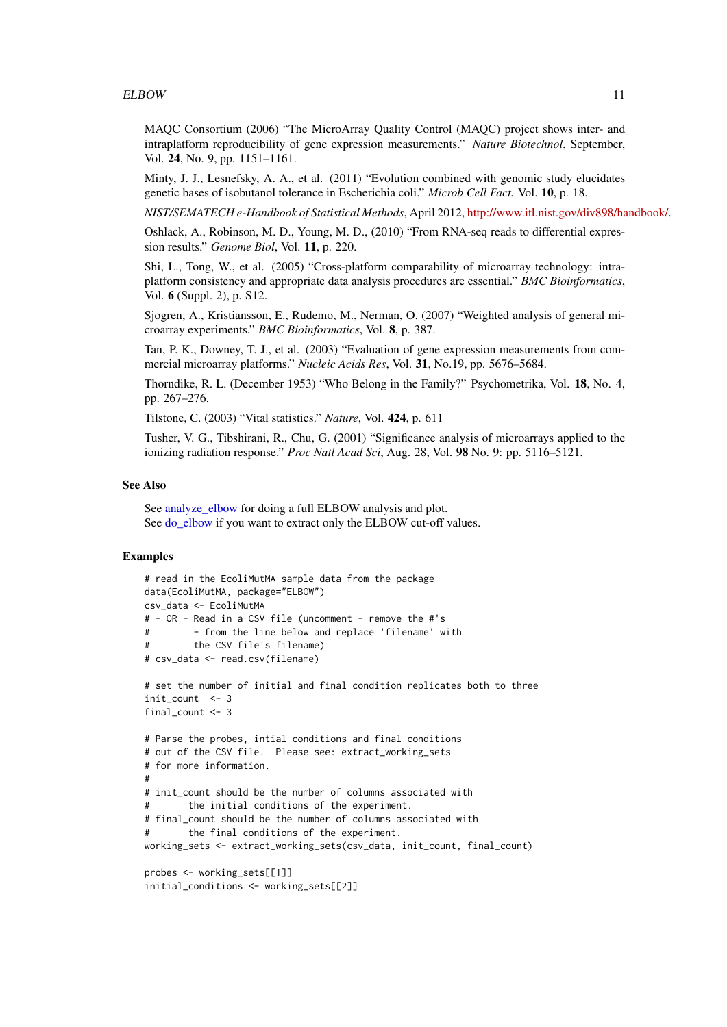<span id="page-10-0"></span>MAQC Consortium (2006) "The MicroArray Quality Control (MAQC) project shows inter- and intraplatform reproducibility of gene expression measurements." *Nature Biotechnol*, September, Vol. 24, No. 9, pp. 1151–1161.

Minty, J. J., Lesnefsky, A. A., et al. (2011) "Evolution combined with genomic study elucidates genetic bases of isobutanol tolerance in Escherichia coli." *Microb Cell Fact.* Vol. 10, p. 18.

*NIST/SEMATECH e-Handbook of Statistical Methods*, April 2012, [http://www.itl.nist.gov/div898/handbook/.](http://www.itl.nist.gov/div898/handbook/)

Oshlack, A., Robinson, M. D., Young, M. D., (2010) "From RNA-seq reads to differential expression results." *Genome Biol*, Vol. 11, p. 220.

Shi, L., Tong, W., et al. (2005) "Cross-platform comparability of microarray technology: intraplatform consistency and appropriate data analysis procedures are essential." *BMC Bioinformatics*, Vol. 6 (Suppl. 2), p. S12.

Sjogren, A., Kristiansson, E., Rudemo, M., Nerman, O. (2007) "Weighted analysis of general microarray experiments." *BMC Bioinformatics*, Vol. 8, p. 387.

Tan, P. K., Downey, T. J., et al. (2003) "Evaluation of gene expression measurements from commercial microarray platforms." *Nucleic Acids Res*, Vol. 31, No.19, pp. 5676–5684.

Thorndike, R. L. (December 1953) "Who Belong in the Family?" Psychometrika, Vol. 18, No. 4, pp. 267–276.

Tilstone, C. (2003) "Vital statistics." *Nature*, Vol. 424, p. 611

Tusher, V. G., Tibshirani, R., Chu, G. (2001) "Significance analysis of microarrays applied to the ionizing radiation response." *Proc Natl Acad Sci*, Aug. 28, Vol. 98 No. 9: pp. 5116–5121.

#### See Also

See analyze elbow for doing a full ELBOW analysis and plot. See [do\\_elbow](#page-2-1) if you want to extract only the ELBOW cut-off values.

```
# read in the EcoliMutMA sample data from the package
data(EcoliMutMA, package="ELBOW")
csv_data <- EcoliMutMA
# - OR - Read in a CSV file (uncomment - remove the #'s
# - from the line below and replace 'filename' with
# the CSV file's filename)
# csv_data <- read.csv(filename)
# set the number of initial and final condition replicates both to three
init_count <- 3
final_count <- 3
# Parse the probes, intial conditions and final conditions
# out of the CSV file. Please see: extract_working_sets
# for more information.
#
# init_count should be the number of columns associated with
# the initial conditions of the experiment.
# final_count should be the number of columns associated with
# the final conditions of the experiment.
working_sets <- extract_working_sets(csv_data, init_count, final_count)
probes <- working_sets[[1]]
initial_conditions <- working_sets[[2]]
```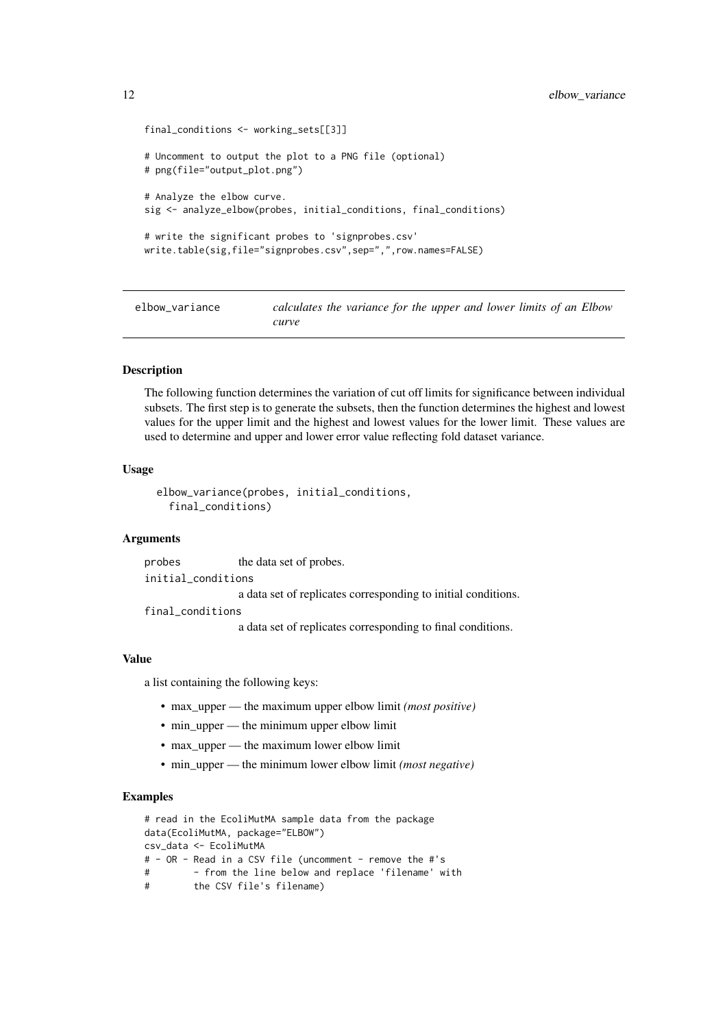```
final_conditions <- working_sets[[3]]
# Uncomment to output the plot to a PNG file (optional)
# png(file="output_plot.png")
# Analyze the elbow curve.
sig <- analyze_elbow(probes, initial_conditions, final_conditions)
# write the significant probes to 'signprobes.csv'
write.table(sig,file="signprobes.csv",sep=",",row.names=FALSE)
```
elbow\_variance *calculates the variance for the upper and lower limits of an Elbow curve*

#### Description

The following function determines the variation of cut off limits for significance between individual subsets. The first step is to generate the subsets, then the function determines the highest and lowest values for the upper limit and the highest and lowest values for the lower limit. These values are used to determine and upper and lower error value reflecting fold dataset variance.

#### Usage

```
elbow_variance(probes, initial_conditions,
  final_conditions)
```
#### Arguments

probes the data set of probes. initial\_conditions a data set of replicates corresponding to initial conditions.

final\_conditions

a data set of replicates corresponding to final conditions.

#### Value

a list containing the following keys:

- max\_upper the maximum upper elbow limit *(most positive)*
- min\_upper the minimum upper elbow limit
- max upper the maximum lower elbow limit
- min\_upper the minimum lower elbow limit *(most negative)*

```
# read in the EcoliMutMA sample data from the package
data(EcoliMutMA, package="ELBOW")
csv_data <- EcoliMutMA
# - OR - Read in a CSV file (uncomment - remove the #'s
# - from the line below and replace 'filename' with
# the CSV file's filename)
```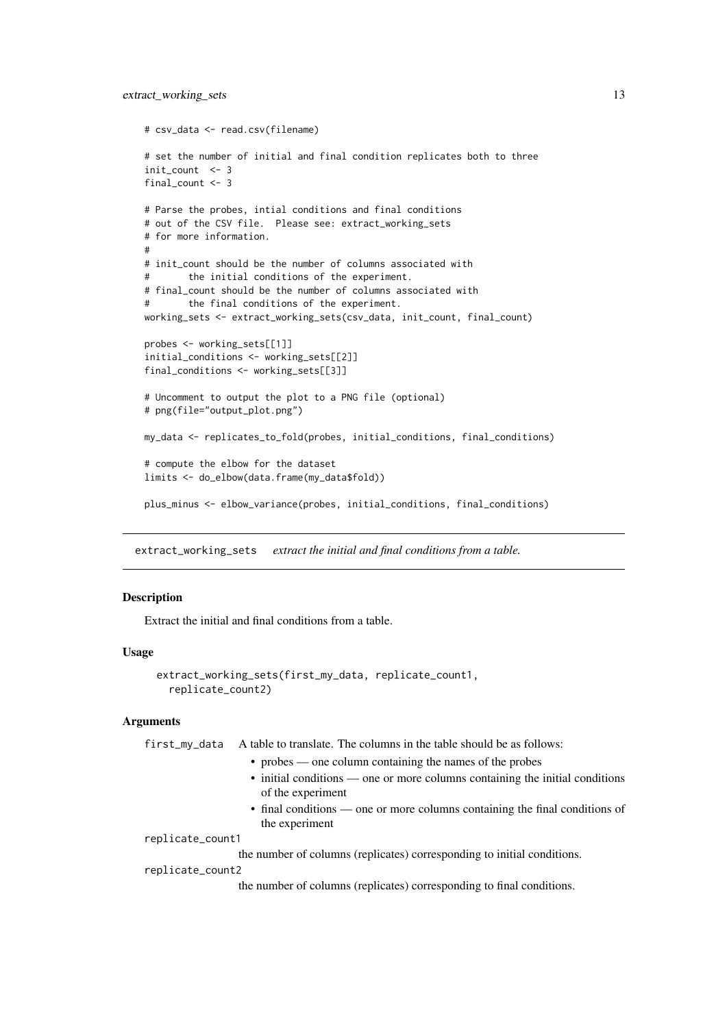```
# csv_data <- read.csv(filename)
# set the number of initial and final condition replicates both to three
init_count <- 3
final count <-3# Parse the probes, intial conditions and final conditions
# out of the CSV file. Please see: extract_working_sets
# for more information.
#
# init_count should be the number of columns associated with
# the initial conditions of the experiment.
# final_count should be the number of columns associated with
# the final conditions of the experiment.
working_sets <- extract_working_sets(csv_data, init_count, final_count)
probes <- working_sets[[1]]
initial_conditions <- working_sets[[2]]
final_conditions <- working_sets[[3]]
# Uncomment to output the plot to a PNG file (optional)
# png(file="output_plot.png")
my_data <- replicates_to_fold(probes, initial_conditions, final_conditions)
# compute the elbow for the dataset
limits <- do_elbow(data.frame(my_data$fold))
plus_minus <- elbow_variance(probes, initial_conditions, final_conditions)
```
extract\_working\_sets *extract the initial and final conditions from a table.*

#### Description

Extract the initial and final conditions from a table.

#### Usage

```
extract_working_sets(first_my_data, replicate_count1,
  replicate_count2)
```
#### Arguments

first\_my\_data A table to translate. The columns in the table should be as follows:

- probes one column containing the names of the probes
- initial conditions one or more columns containing the initial conditions of the experiment
- final conditions one or more columns containing the final conditions of the experiment

replicate\_count1

the number of columns (replicates) corresponding to initial conditions.

```
replicate_count2
```
the number of columns (replicates) corresponding to final conditions.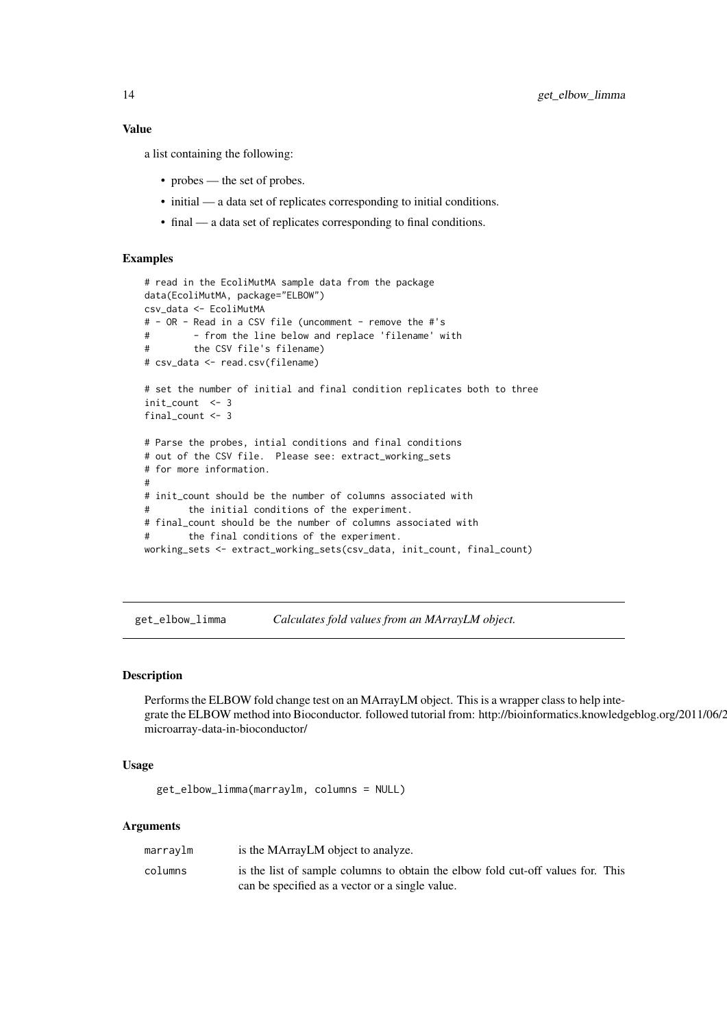#### <span id="page-13-0"></span>Value

a list containing the following:

- probes the set of probes.
- initial a data set of replicates corresponding to initial conditions.
- final a data set of replicates corresponding to final conditions.

#### Examples

```
# read in the EcoliMutMA sample data from the package
data(EcoliMutMA, package="ELBOW")
csv_data <- EcoliMutMA
# - OR - Read in a CSV file (uncomment - remove the #'s
# - from the line below and replace 'filename' with
# the CSV file's filename)
# csv_data <- read.csv(filename)
# set the number of initial and final condition replicates both to three
init_count <- 3
final_count <- 3
# Parse the probes, intial conditions and final conditions
# out of the CSV file. Please see: extract_working_sets
# for more information.
#
# init_count should be the number of columns associated with
# the initial conditions of the experiment.
# final_count should be the number of columns associated with
# the final conditions of the experiment.
working_sets <- extract_working_sets(csv_data, init_count, final_count)
```
get\_elbow\_limma *Calculates fold values from an MArrayLM object.*

#### Description

Performs the ELBOW fold change test on an MArrayLM object. This is a wrapper class to help integrate the ELBOW method into Bioconductor. followed tutorial from: http://bioinformatics.knowledgeblog.org/2011/06/2 microarray-data-in-bioconductor/

#### Usage

```
get_elbow_limma(marraylm, columns = NULL)
```
#### Arguments

| marraylm | is the MArrayLM object to analyze.                                              |
|----------|---------------------------------------------------------------------------------|
| columns  | is the list of sample columns to obtain the elbow fold cut-off values for. This |
|          | can be specified as a vector or a single value.                                 |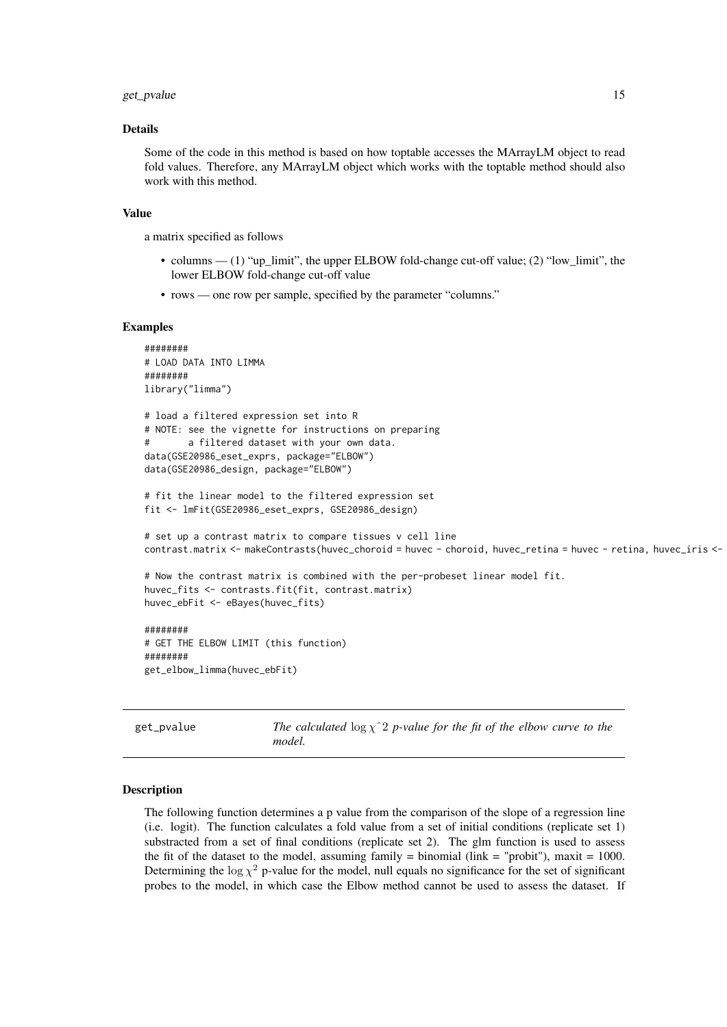#### <span id="page-14-0"></span>get\_pvalue 15

#### Details

Some of the code in this method is based on how toptable accesses the MArrayLM object to read fold values. Therefore, any MArrayLM object which works with the toptable method should also work with this method.

#### Value

a matrix specified as follows

- columns  $(1)$  "up  $\lim$ it", the upper ELBOW fold-change cut-off value; (2) "low  $\lim$ it", the lower ELBOW fold-change cut-off value
- rows one row per sample, specified by the parameter "columns."

#### Examples

```
########
# LOAD DATA INTO LIMMA
########
library("limma")
# load a filtered expression set into R
# NOTE: see the vignette for instructions on preparing
# a filtered dataset with your own data.
data(GSE20986_eset_exprs, package="ELBOW")
data(GSE20986_design, package="ELBOW")
# fit the linear model to the filtered expression set
fit <- lmFit(GSE20986_eset_exprs, GSE20986_design)
# set up a contrast matrix to compare tissues v cell line
contrast.matrix <- makeContrasts(huvec_choroid = huvec - choroid, huvec_retina = huvec - retina, huvec_iris <-
# Now the contrast matrix is combined with the per-probeset linear model fit.
huvec_fits <- contrasts.fit(fit, contrast.matrix)
huvec_ebFit <- eBayes(huvec_fits)
########
# GET THE ELBOW LIMIT (this function)
########
get_elbow_limma(huvec_ebFit)
```
get\_pvalue *The calculated* log χˆ2 *p-value for the fit of the elbow curve to the model.*

#### Description

The following function determines a p value from the comparison of the slope of a regression line (i.e. logit). The function calculates a fold value from a set of initial conditions (replicate set 1) substracted from a set of final conditions (replicate set 2). The glm function is used to assess the fit of the dataset to the model, assuming family  $=$  binomial (link  $=$  "probit"), maxit  $=$  1000. Determining the  $\log \chi^2$  p-value for the model, null equals no significance for the set of significant probes to the model, in which case the Elbow method cannot be used to assess the dataset. If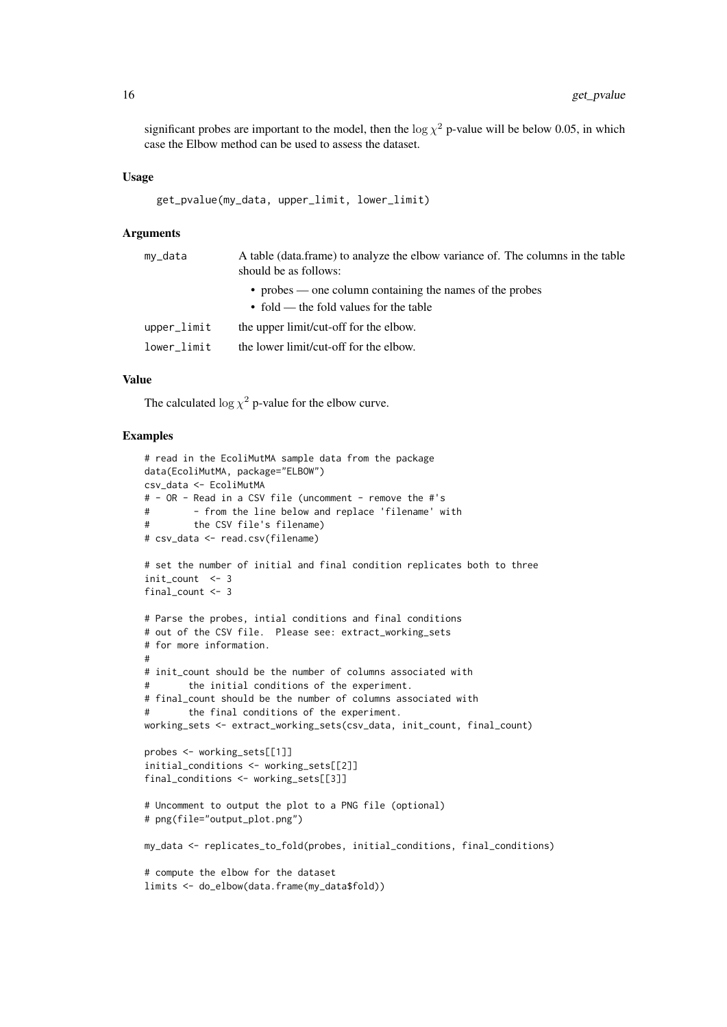significant probes are important to the model, then the  $\log \chi^2$  p-value will be below 0.05, in which case the Elbow method can be used to assess the dataset.

#### Usage

```
get_pvalue(my_data, upper_limit, lower_limit)
```
#### Arguments

| my_data     | A table (data.frame) to analyze the elbow variance of. The columns in the table<br>should be as follows: |  |
|-------------|----------------------------------------------------------------------------------------------------------|--|
|             | • probes — one column containing the names of the probes                                                 |  |
|             | • fold — the fold values for the table                                                                   |  |
| upper_limit | the upper limit/cut-off for the elbow.                                                                   |  |
| lower limit | the lower limit/cut-off for the elbow.                                                                   |  |
|             |                                                                                                          |  |

#### Value

The calculated  $\log \chi^2$  p-value for the elbow curve.

```
# read in the EcoliMutMA sample data from the package
data(EcoliMutMA, package="ELBOW")
csv_data <- EcoliMutMA
# - OR - Read in a CSV file (uncomment - remove the #'s
# - from the line below and replace 'filename' with
# the CSV file's filename)
# csv_data <- read.csv(filename)
# set the number of initial and final condition replicates both to three
init_count <- 3
final_count <- 3
# Parse the probes, intial conditions and final conditions
# out of the CSV file. Please see: extract_working_sets
# for more information.
#
# init_count should be the number of columns associated with
# the initial conditions of the experiment.
# final_count should be the number of columns associated with
# the final conditions of the experiment.
working_sets <- extract_working_sets(csv_data, init_count, final_count)
probes <- working_sets[[1]]
initial_conditions <- working_sets[[2]]
final_conditions <- working_sets[[3]]
# Uncomment to output the plot to a PNG file (optional)
# png(file="output_plot.png")
my_data <- replicates_to_fold(probes, initial_conditions, final_conditions)
# compute the elbow for the dataset
limits <- do_elbow(data.frame(my_data$fold))
```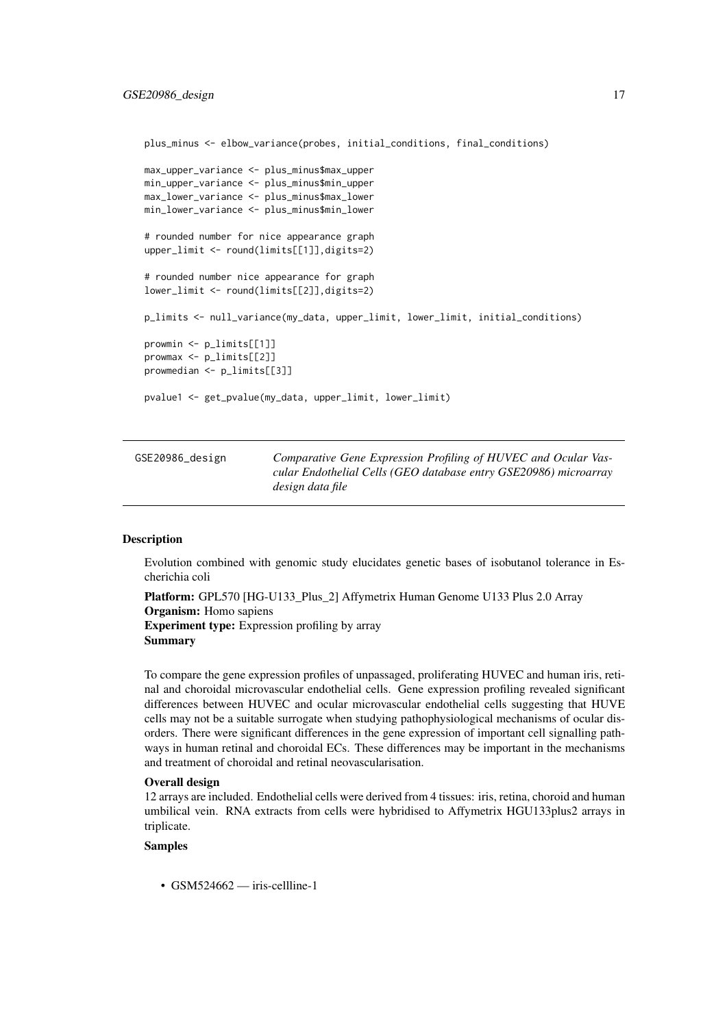<span id="page-16-0"></span>plus\_minus <- elbow\_variance(probes, initial\_conditions, final\_conditions) max\_upper\_variance <- plus\_minus\$max\_upper min\_upper\_variance <- plus\_minus\$min\_upper max\_lower\_variance <- plus\_minus\$max\_lower min\_lower\_variance <- plus\_minus\$min\_lower # rounded number for nice appearance graph upper limit <- round(limits[[1]],digits=2) # rounded number nice appearance for graph lower\_limit <- round(limits[[2]],digits=2) p\_limits <- null\_variance(my\_data, upper\_limit, lower\_limit, initial\_conditions) prowmin <- p\_limits[[1]] prowmax <- p\_limits[[2]] prowmedian <- p\_limits[[3]] pvalue1 <- get\_pvalue(my\_data, upper\_limit, lower\_limit)

| GSE20986_design | Comparative Gene Expression Profiling of HUVEC and Ocular Vas-   |
|-----------------|------------------------------------------------------------------|
|                 | cular Endothelial Cells (GEO database entry GSE20986) microarray |
|                 | design data file                                                 |

#### Description

Evolution combined with genomic study elucidates genetic bases of isobutanol tolerance in Escherichia coli

Platform: GPL570 [HG-U133\_Plus\_2] Affymetrix Human Genome U133 Plus 2.0 Array Organism: Homo sapiens Experiment type: Expression profiling by array Summary

To compare the gene expression profiles of unpassaged, proliferating HUVEC and human iris, retinal and choroidal microvascular endothelial cells. Gene expression profiling revealed significant differences between HUVEC and ocular microvascular endothelial cells suggesting that HUVE cells may not be a suitable surrogate when studying pathophysiological mechanisms of ocular disorders. There were significant differences in the gene expression of important cell signalling pathways in human retinal and choroidal ECs. These differences may be important in the mechanisms and treatment of choroidal and retinal neovascularisation.

#### Overall design

12 arrays are included. Endothelial cells were derived from 4 tissues: iris, retina, choroid and human umbilical vein. RNA extracts from cells were hybridised to Affymetrix HGU133plus2 arrays in triplicate.

#### Samples

• GSM524662 — iris-cellline-1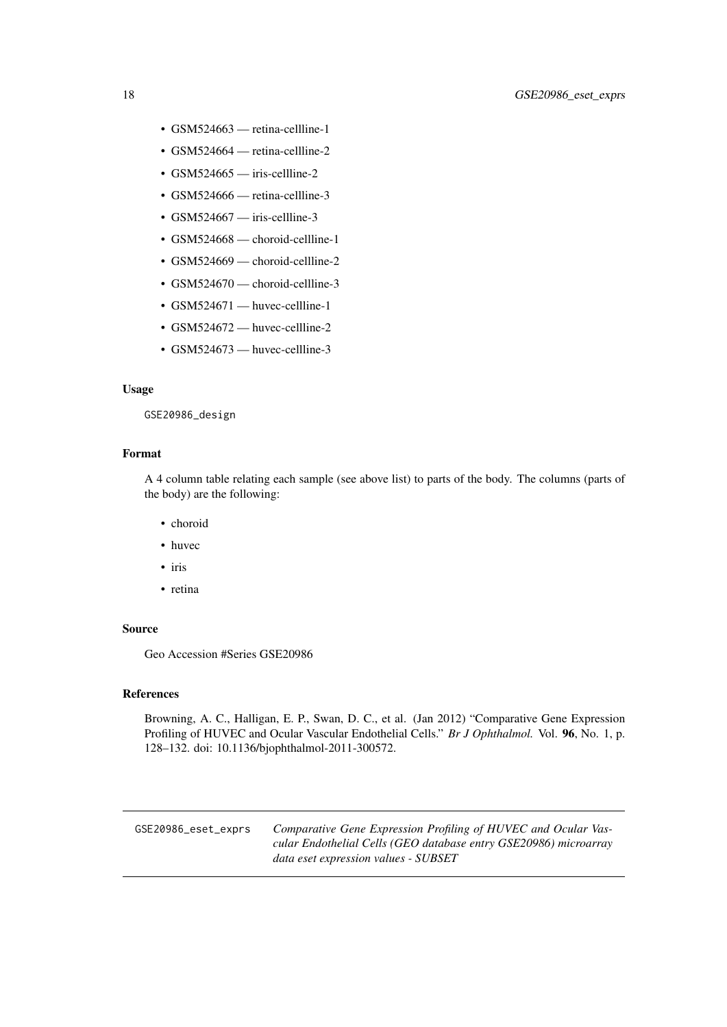- <span id="page-17-0"></span>• GSM524663 — retina-cellline-1
- GSM524664 retina-cellline-2
- GSM524665 iris-cellline-2
- GSM524666 retina-cellline-3
- GSM524667 iris-cellline-3
- GSM524668 choroid-cellline-1
- GSM524669 choroid-cellline-2
- GSM524670 choroid-cellline-3
- GSM524671 huvec-cellline-1
- GSM524672 huvec-cellline-2
- GSM524673 huvec-cellline-3

#### Usage

GSE20986\_design

#### Format

A 4 column table relating each sample (see above list) to parts of the body. The columns (parts of the body) are the following:

- choroid
- huvec
- iris
- retina

#### Source

Geo Accession #Series GSE20986

#### References

Browning, A. C., Halligan, E. P., Swan, D. C., et al. (Jan 2012) "Comparative Gene Expression Profiling of HUVEC and Ocular Vascular Endothelial Cells." *Br J Ophthalmol.* Vol. 96, No. 1, p. 128–132. doi: 10.1136/bjophthalmol-2011-300572.

GSE20986\_eset\_exprs *Comparative Gene Expression Profiling of HUVEC and Ocular Vascular Endothelial Cells (GEO database entry GSE20986) microarray data eset expression values - SUBSET*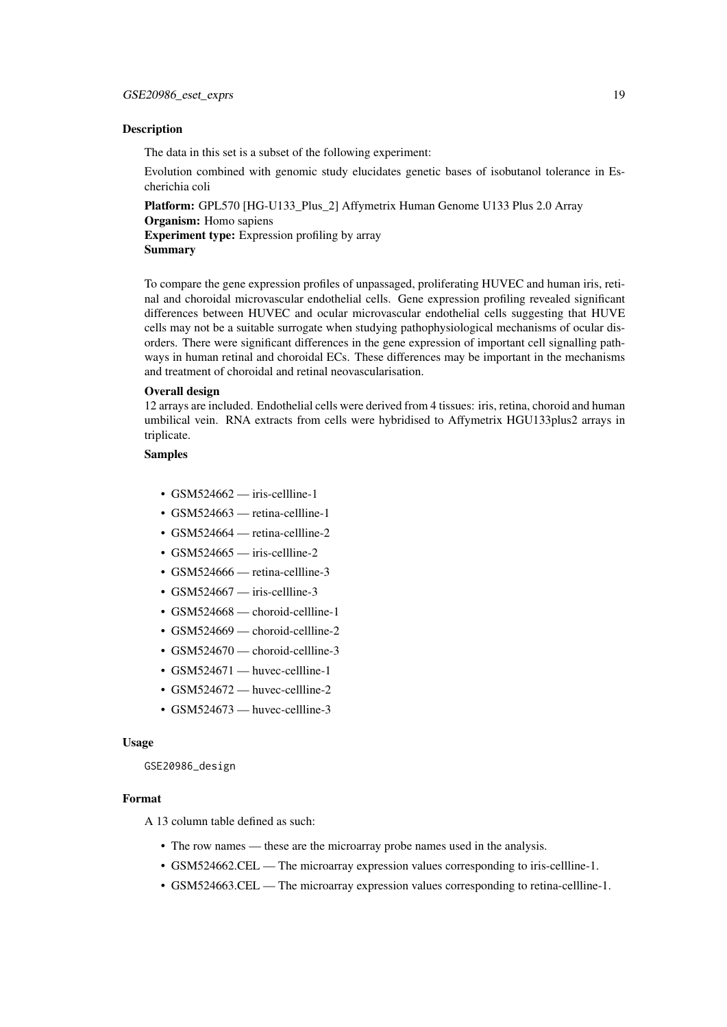#### Description

The data in this set is a subset of the following experiment:

Evolution combined with genomic study elucidates genetic bases of isobutanol tolerance in Escherichia coli

Platform: GPL570 [HG-U133\_Plus\_2] Affymetrix Human Genome U133 Plus 2.0 Array Organism: Homo sapiens Experiment type: Expression profiling by array

Summary

To compare the gene expression profiles of unpassaged, proliferating HUVEC and human iris, retinal and choroidal microvascular endothelial cells. Gene expression profiling revealed significant differences between HUVEC and ocular microvascular endothelial cells suggesting that HUVE cells may not be a suitable surrogate when studying pathophysiological mechanisms of ocular disorders. There were significant differences in the gene expression of important cell signalling pathways in human retinal and choroidal ECs. These differences may be important in the mechanisms and treatment of choroidal and retinal neovascularisation.

#### Overall design

12 arrays are included. Endothelial cells were derived from 4 tissues: iris, retina, choroid and human umbilical vein. RNA extracts from cells were hybridised to Affymetrix HGU133plus2 arrays in triplicate.

#### Samples

- $\cdot$  GSM524662 iris-cellline-1
- GSM524663 retina-cellline-1
- GSM524664 retina-cellline-2
- GSM524665 iris-cellline-2
- $\cdot$  GSM524666 retina-cellline-3
- GSM524667 iris-cellline-3
- GSM524668 choroid-cellline-1
- GSM524669 choroid-cellline-2
- GSM524670 choroid-cellline-3
- GSM524671 huvec-cellline-1
- GSM524672 huvec-cellline-2
- GSM524673 huvec-cellline-3

#### Usage

GSE20986\_design

#### Format

A 13 column table defined as such:

- The row names these are the microarray probe names used in the analysis.
- GSM524662.CEL The microarray expression values corresponding to iris-cellline-1.
- GSM524663.CEL The microarray expression values corresponding to retina-cellline-1.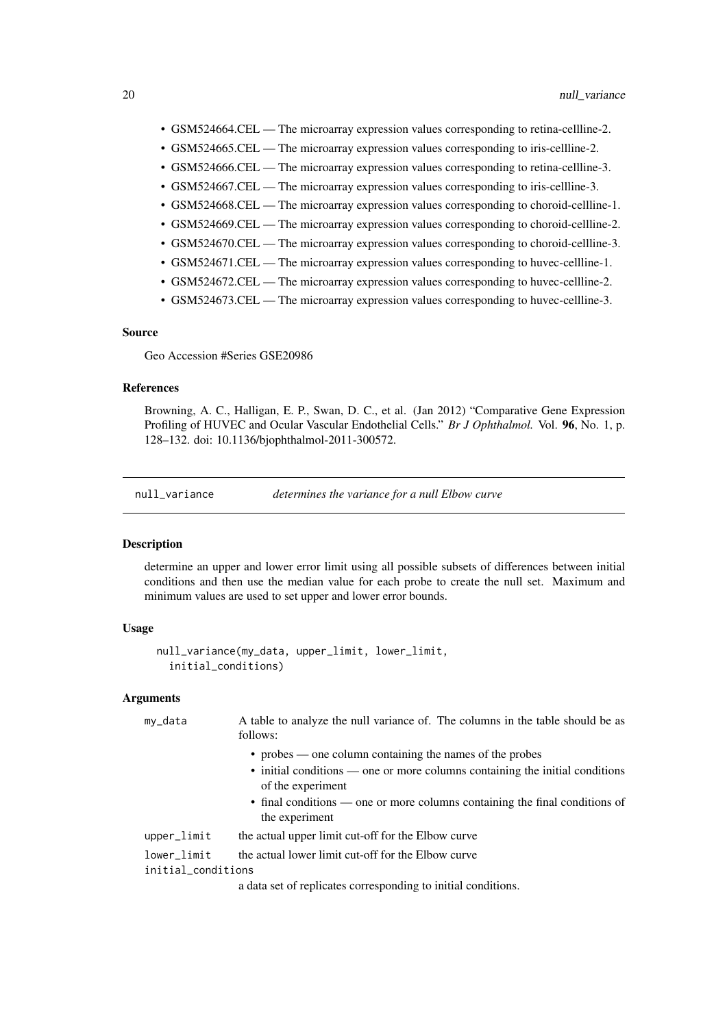- <span id="page-19-0"></span>• GSM524664.CEL — The microarray expression values corresponding to retina-cellline-2.
- GSM524665.CEL The microarray expression values corresponding to iris-cellline-2.
- GSM524666.CEL The microarray expression values corresponding to retina-cellline-3.
- GSM524667.CEL The microarray expression values corresponding to iris-cellline-3.
- GSM524668.CEL The microarray expression values corresponding to choroid-cellline-1.
- GSM524669.CEL The microarray expression values corresponding to choroid-cellline-2.
- GSM524670.CEL The microarray expression values corresponding to choroid-cellline-3.
- GSM524671.CEL The microarray expression values corresponding to huvec-cellline-1.
- GSM524672.CEL The microarray expression values corresponding to huvec-cellline-2.
- GSM524673.CEL The microarray expression values corresponding to huvec-cellline-3.

#### Source

Geo Accession #Series GSE20986

#### References

Browning, A. C., Halligan, E. P., Swan, D. C., et al. (Jan 2012) "Comparative Gene Expression Profiling of HUVEC and Ocular Vascular Endothelial Cells." *Br J Ophthalmol.* Vol. 96, No. 1, p. 128–132. doi: 10.1136/bjophthalmol-2011-300572.

null\_variance *determines the variance for a null Elbow curve*

#### **Description**

determine an upper and lower error limit using all possible subsets of differences between initial conditions and then use the median value for each probe to create the null set. Maximum and minimum values are used to set upper and lower error bounds.

#### Usage

```
null_variance(my_data, upper_limit, lower_limit,
  initial_conditions)
```
#### Arguments

| my_data            | A table to analyze the null variance of. The columns in the table should be as<br>follows:        |
|--------------------|---------------------------------------------------------------------------------------------------|
|                    | • probes — one column containing the names of the probes                                          |
|                    | • initial conditions — one or more columns containing the initial conditions<br>of the experiment |
|                    | • final conditions — one or more columns containing the final conditions of<br>the experiment     |
| upper_limit        | the actual upper limit cut-off for the Elbow curve                                                |
| lower_limit        | the actual lower limit cut-off for the Elbow curve                                                |
| initial_conditions |                                                                                                   |
|                    | a data set of replicates corresponding to initial conditions.                                     |
|                    |                                                                                                   |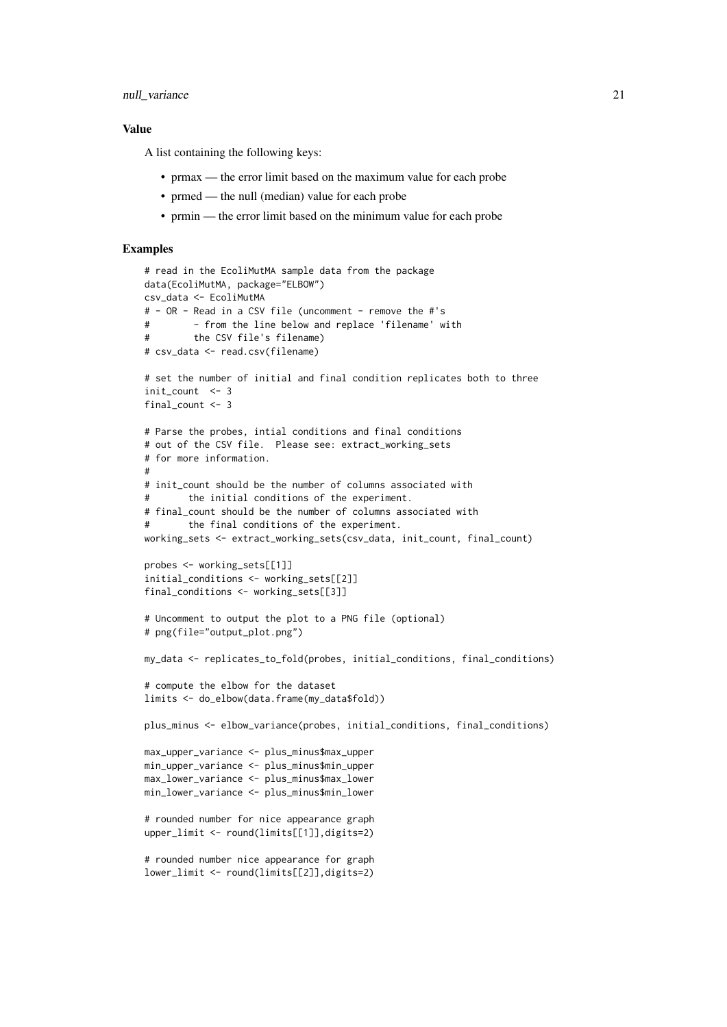#### null\_variance 21

#### Value

A list containing the following keys:

- prmax the error limit based on the maximum value for each probe
- prmed the null (median) value for each probe
- prmin the error limit based on the minimum value for each probe

```
# read in the EcoliMutMA sample data from the package
data(EcoliMutMA, package="ELBOW")
csv_data <- EcoliMutMA
# - OR - Read in a CSV file (uncomment - remove the #'s
# - from the line below and replace 'filename' with
# the CSV file's filename)
# csv_data <- read.csv(filename)
# set the number of initial and final condition replicates both to three
init_count <- 3
final count <-3# Parse the probes, intial conditions and final conditions
# out of the CSV file. Please see: extract_working_sets
# for more information.
#
# init_count should be the number of columns associated with
# the initial conditions of the experiment.
# final_count should be the number of columns associated with
# the final conditions of the experiment.
working_sets <- extract_working_sets(csv_data, init_count, final_count)
probes <- working_sets[[1]]
initial_conditions <- working_sets[[2]]
final_conditions <- working_sets[[3]]
# Uncomment to output the plot to a PNG file (optional)
# png(file="output_plot.png")
my_data <- replicates_to_fold(probes, initial_conditions, final_conditions)
# compute the elbow for the dataset
limits <- do_elbow(data.frame(my_data$fold))
plus_minus <- elbow_variance(probes, initial_conditions, final_conditions)
max_upper_variance <- plus_minus$max_upper
min_upper_variance <- plus_minus$min_upper
max_lower_variance <- plus_minus$max_lower
min_lower_variance <- plus_minus$min_lower
# rounded number for nice appearance graph
upper_limit <- round(limits[[1]],digits=2)
# rounded number nice appearance for graph
lower_limit <- round(limits[[2]],digits=2)
```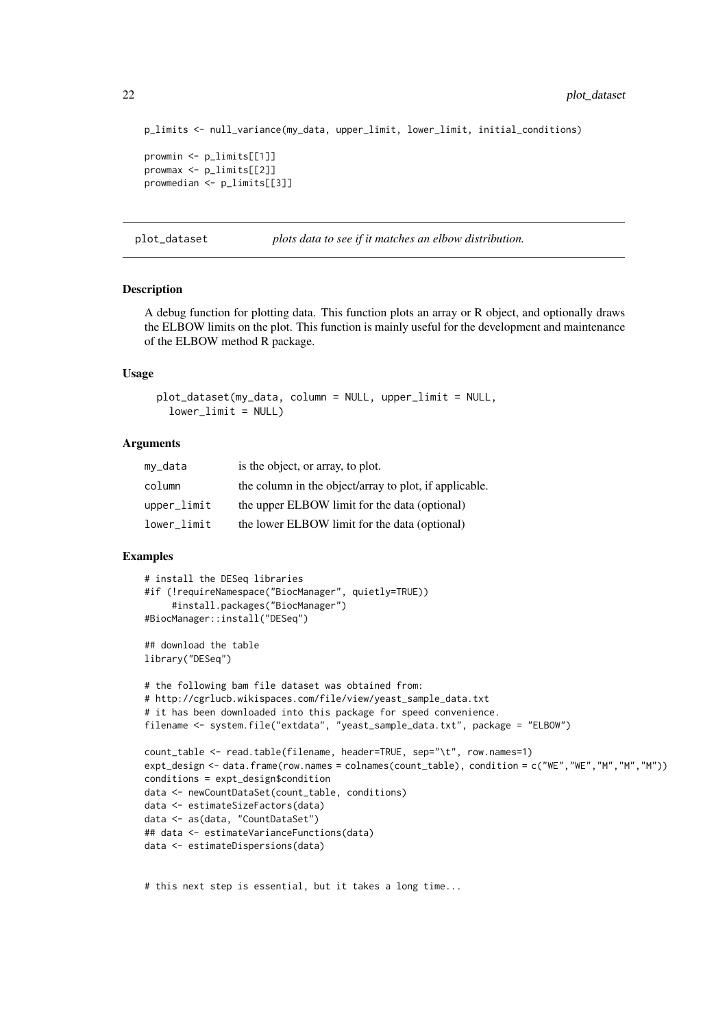```
p_limits <- null_variance(my_data, upper_limit, lower_limit, initial_conditions)
prowmin <- p_limits[[1]]
prowmax <- p_limits[[2]]
prowmedian <- p_limits[[3]]
```
plot\_dataset *plots data to see if it matches an elbow distribution.*

#### Description

A debug function for plotting data. This function plots an array or R object, and optionally draws the ELBOW limits on the plot. This function is mainly useful for the development and maintenance of the ELBOW method R package.

#### Usage

```
plot_dataset(my_data, column = NULL, upper_limit = NULL,
  lowerlimit = NULL)
```
#### Arguments

| my_data       | is the object, or array, to plot.                      |
|---------------|--------------------------------------------------------|
| column        | the column in the object/array to plot, if applicable. |
| $upper$ limit | the upper ELBOW limit for the data (optional)          |
| lower limit   | the lower ELBOW limit for the data (optional)          |

#### Examples

```
# install the DESeq libraries
#if (!requireNamespace("BiocManager", quietly=TRUE))
     #install.packages("BiocManager")
#BiocManager::install("DESeq")
## download the table
library("DESeq")
# the following bam file dataset was obtained from:
# http://cgrlucb.wikispaces.com/file/view/yeast_sample_data.txt
# it has been downloaded into this package for speed convenience.
filename <- system.file("extdata", "yeast_sample_data.txt", package = "ELBOW")
count_table <- read.table(filename, header=TRUE, sep="\t", row.names=1)
expt_design <- data.frame(row.names = colnames(count_table), condition = c("WE","WE","M","M","M"))
conditions = expt_design$condition
data <- newCountDataSet(count_table, conditions)
data <- estimateSizeFactors(data)
data <- as(data, "CountDataSet")
## data <- estimateVarianceFunctions(data)
data <- estimateDispersions(data)
```
# this next step is essential, but it takes a long time...

<span id="page-21-0"></span>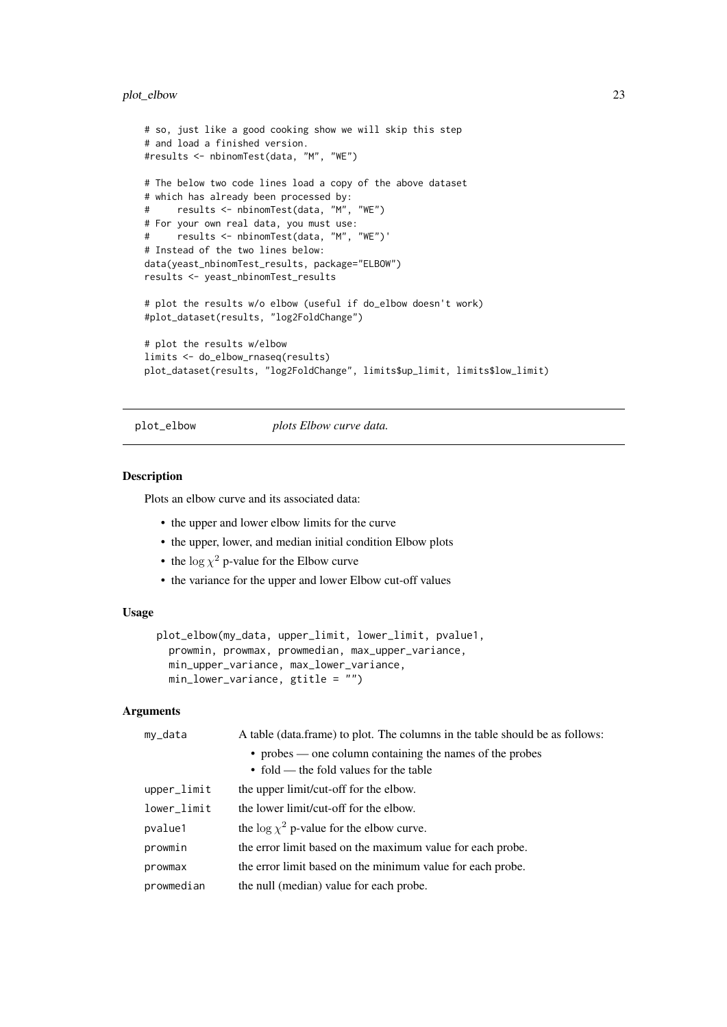#### <span id="page-22-0"></span>plot\_elbow 23

```
# so, just like a good cooking show we will skip this step
# and load a finished version.
#results <- nbinomTest(data, "M", "WE")
# The below two code lines load a copy of the above dataset
# which has already been processed by:
# results <- nbinomTest(data, "M", "WE")
# For your own real data, you must use:
# results <- nbinomTest(data, "M", "WE")'
# Instead of the two lines below:
data(yeast_nbinomTest_results, package="ELBOW")
results <- yeast_nbinomTest_results
# plot the results w/o elbow (useful if do_elbow doesn't work)
#plot_dataset(results, "log2FoldChange")
# plot the results w/elbow
limits <- do_elbow_rnaseq(results)
plot_dataset(results, "log2FoldChange", limits$up_limit, limits$low_limit)
```
plot\_elbow *plots Elbow curve data.*

#### Description

Plots an elbow curve and its associated data:

- the upper and lower elbow limits for the curve
- the upper, lower, and median initial condition Elbow plots
- the  $\log \chi^2$  p-value for the Elbow curve
- the variance for the upper and lower Elbow cut-off values

#### Usage

```
plot_elbow(my_data, upper_limit, lower_limit, pvalue1,
  prowmin, prowmax, prowmedian, max_upper_variance,
 min_upper_variance, max_lower_variance,
 min_lower_variance, gtitle = "")
```
#### Arguments

| my_data     | A table (data.frame) to plot. The columns in the table should be as follows: |
|-------------|------------------------------------------------------------------------------|
|             | • probes — one column containing the names of the probes                     |
|             | $\bullet$ fold — the fold values for the table                               |
| upper_limit | the upper limit/cut-off for the elbow.                                       |
| lower_limit | the lower limit/cut-off for the elbow.                                       |
| pvalue1     | the $\log \chi^2$ p-value for the elbow curve.                               |
| prowmin     | the error limit based on the maximum value for each probe.                   |
| prowmax     | the error limit based on the minimum value for each probe.                   |
| prowmedian  | the null (median) value for each probe.                                      |
|             |                                                                              |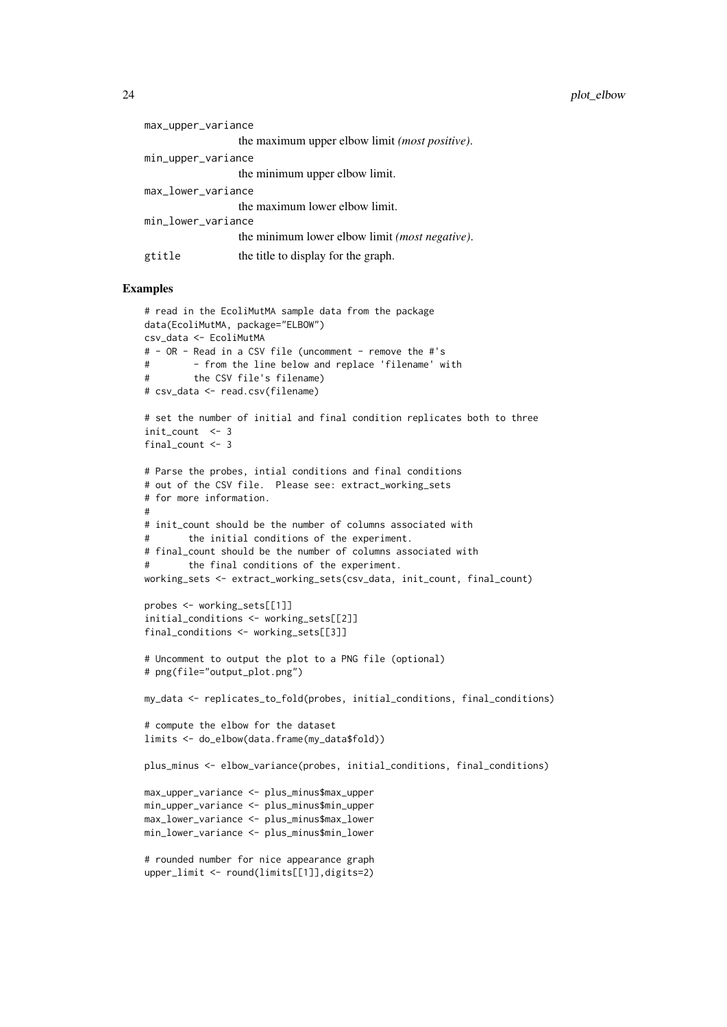24 plot\_elbow profession of the contract of the contract of the contract of the contract of the contract of the contract of the contract of the contract of the contract of the contract of the contract of the contract of th

| max_upper_variance |                                                         |
|--------------------|---------------------------------------------------------|
|                    | the maximum upper elbow limit ( <i>most positive</i> ). |
| min_upper_variance |                                                         |
|                    | the minimum upper elbow limit.                          |
| max_lower_variance |                                                         |
|                    | the maximum lower elbow limit.                          |
| min_lower_variance |                                                         |
|                    | the minimum lower elbow limit <i>(most negative)</i> .  |
| gtitle             | the title to display for the graph.                     |

```
# read in the EcoliMutMA sample data from the package
data(EcoliMutMA, package="ELBOW")
csv_data <- EcoliMutMA
# - OR - Read in a CSV file (uncomment - remove the #'s
# - from the line below and replace 'filename' with
# the CSV file's filename)
# csv_data <- read.csv(filename)
# set the number of initial and final condition replicates both to three
init_count <- 3
final_count <- 3
# Parse the probes, intial conditions and final conditions
# out of the CSV file. Please see: extract_working_sets
# for more information.
#
# init_count should be the number of columns associated with
# the initial conditions of the experiment.
# final_count should be the number of columns associated with
# the final conditions of the experiment.
working_sets <- extract_working_sets(csv_data, init_count, final_count)
probes <- working_sets[[1]]
initial_conditions <- working_sets[[2]]
final_conditions <- working_sets[[3]]
# Uncomment to output the plot to a PNG file (optional)
# png(file="output_plot.png")
my_data <- replicates_to_fold(probes, initial_conditions, final_conditions)
# compute the elbow for the dataset
limits <- do_elbow(data.frame(my_data$fold))
plus_minus <- elbow_variance(probes, initial_conditions, final_conditions)
max_upper_variance <- plus_minus$max_upper
min_upper_variance <- plus_minus$min_upper
max_lower_variance <- plus_minus$max_lower
min_lower_variance <- plus_minus$min_lower
# rounded number for nice appearance graph
upper_limit <- round(limits[[1]],digits=2)
```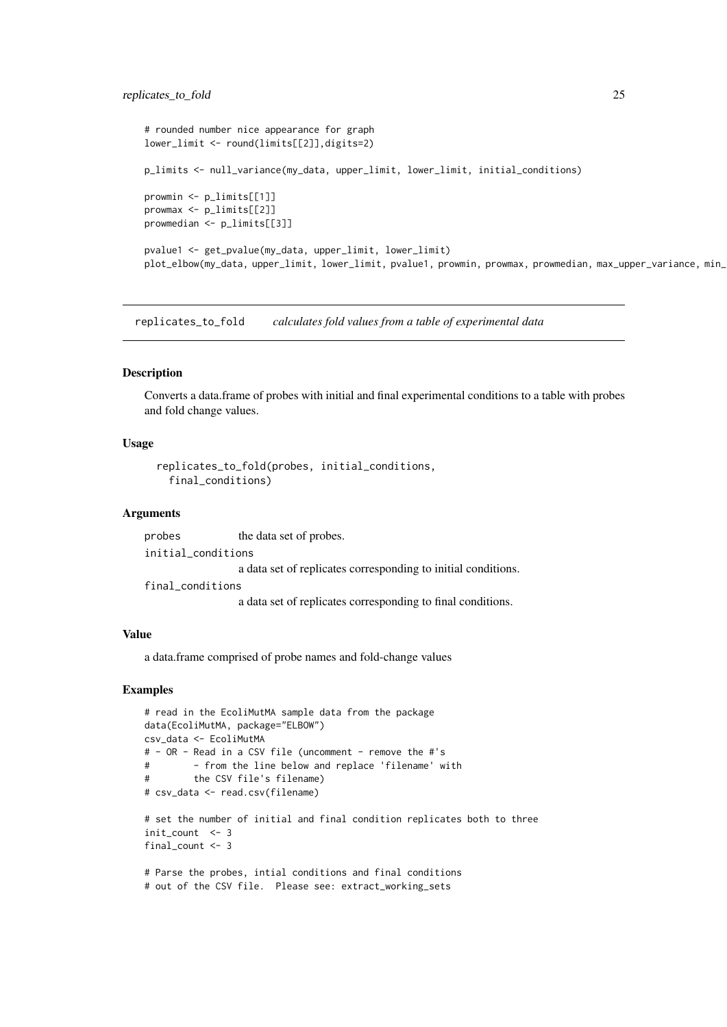#### <span id="page-24-0"></span>replicates\_to\_fold 25

```
# rounded number nice appearance for graph
lower_limit <- round(limits[[2]],digits=2)
p_limits <- null_variance(my_data, upper_limit, lower_limit, initial_conditions)
prowmin <- p_limits[[1]]
prowmax <- p_limits[[2]]
prowmedian <- p_limits[[3]]
pvalue1 <- get_pvalue(my_data, upper_limit, lower_limit)
plot_elbow(my_data, upper_limit, lower_limit, pvalue1, prowmin, prowmax, prowmedian, max_upper_variance, min_
```
replicates\_to\_fold *calculates fold values from a table of experimental data*

#### Description

Converts a data.frame of probes with initial and final experimental conditions to a table with probes and fold change values.

#### Usage

```
replicates_to_fold(probes, initial_conditions,
 final_conditions)
```
#### Arguments

probes the data set of probes. initial\_conditions a data set of replicates corresponding to initial conditions. final\_conditions a data set of replicates corresponding to final conditions.

#### Value

a data.frame comprised of probe names and fold-change values

```
# read in the EcoliMutMA sample data from the package
data(EcoliMutMA, package="ELBOW")
csv_data <- EcoliMutMA
# - OR - Read in a CSV file (uncomment - remove the #'s
# - from the line below and replace 'filename' with
# the CSV file's filename)
# csv_data <- read.csv(filename)
# set the number of initial and final condition replicates both to three
init_count <- 3
final_count <- 3
# Parse the probes, intial conditions and final conditions
# out of the CSV file. Please see: extract_working_sets
```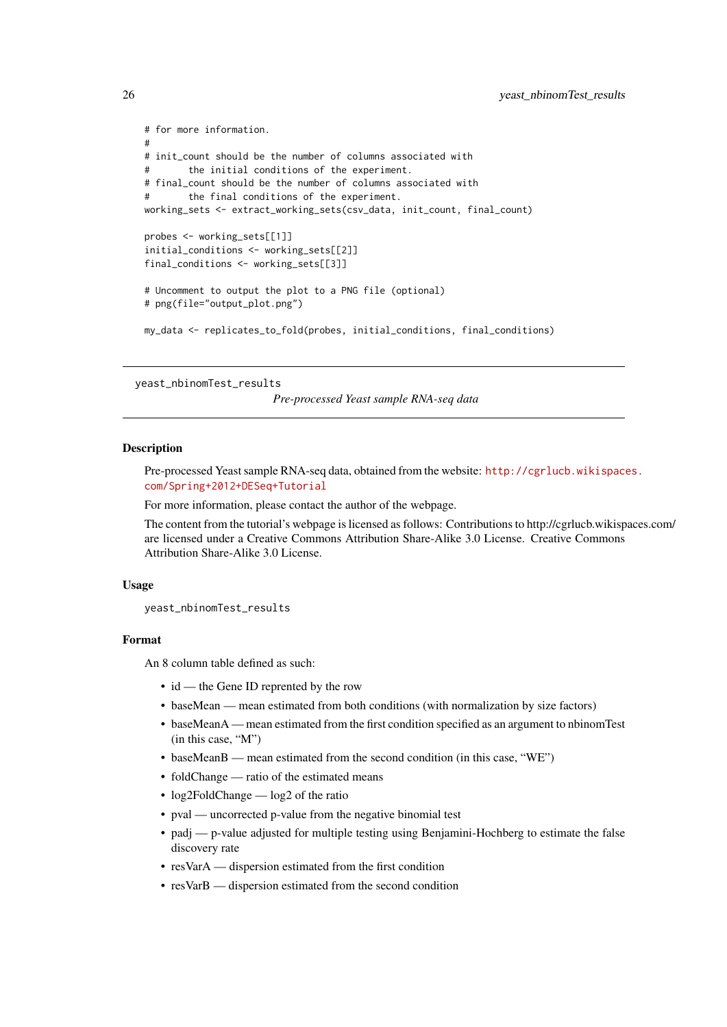```
# for more information.
#
# init_count should be the number of columns associated with
# the initial conditions of the experiment.
# final_count should be the number of columns associated with
# the final conditions of the experiment.
working_sets <- extract_working_sets(csv_data, init_count, final_count)
probes <- working_sets[[1]]
initial_conditions <- working_sets[[2]]
final_conditions <- working_sets[[3]]
# Uncomment to output the plot to a PNG file (optional)
# png(file="output_plot.png")
my_data <- replicates_to_fold(probes, initial_conditions, final_conditions)
```
yeast\_nbinomTest\_results

*Pre-processed Yeast sample RNA-seq data*

#### Description

Pre-processed Yeast sample RNA-seq data, obtained from the website: [http://cgrlucb.wikispace](http://cgrlucb.wikispaces.com/Spring+2012+DESeq+Tutorial)s. [com/Spring+2012+DESeq+Tutorial](http://cgrlucb.wikispaces.com/Spring+2012+DESeq+Tutorial)

For more information, please contact the author of the webpage.

The content from the tutorial's webpage is licensed as follows: Contributions to http://cgrlucb.wikispaces.com/ are licensed under a Creative Commons Attribution Share-Alike 3.0 License. Creative Commons Attribution Share-Alike 3.0 License.

#### Usage

yeast\_nbinomTest\_results

#### Format

An 8 column table defined as such:

- id the Gene ID reprented by the row
- baseMean mean estimated from both conditions (with normalization by size factors)
- baseMeanA mean estimated from the first condition specified as an argument to nbinomTest (in this case, "M")
- baseMeanB mean estimated from the second condition (in this case, "WE")
- foldChange ratio of the estimated means
- log2FoldChange log2 of the ratio
- pval uncorrected p-value from the negative binomial test
- padj p-value adjusted for multiple testing using Benjamini-Hochberg to estimate the false discovery rate
- resVarA dispersion estimated from the first condition
- resVarB dispersion estimated from the second condition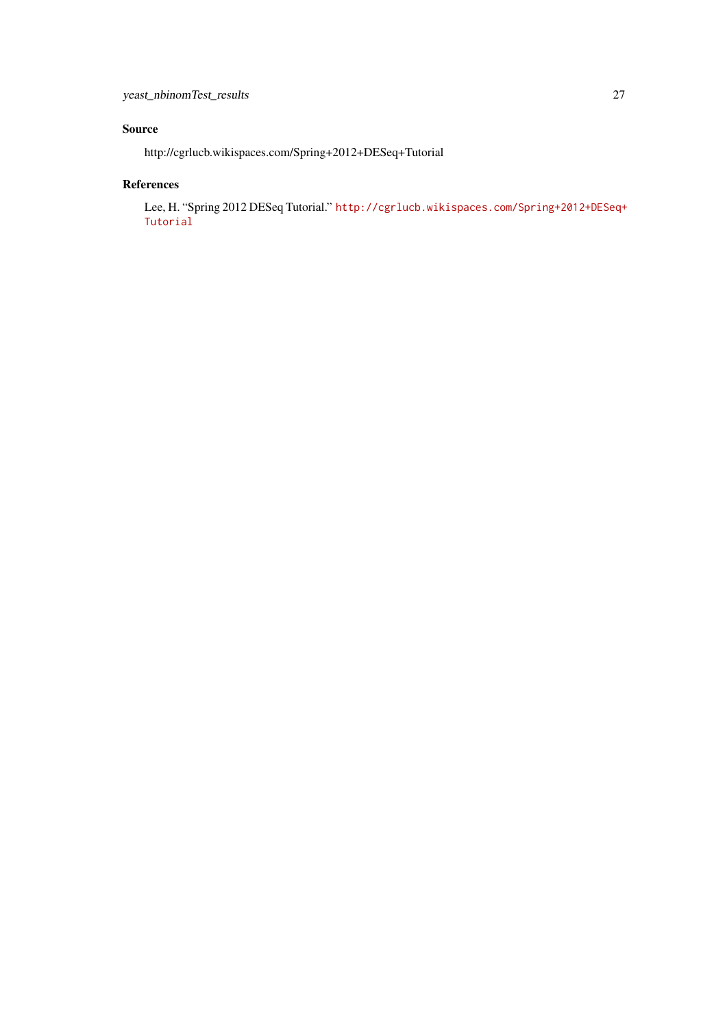## Source

http://cgrlucb.wikispaces.com/Spring+2012+DESeq+Tutorial

### References

Lee, H. "Spring 2012 DESeq Tutorial." [http://cgrlucb.wikispaces.com/Spring+2012+DESeq+](http://cgrlucb.wikispaces.com/Spring+2012+DESeq+Tutorial) [Tutorial](http://cgrlucb.wikispaces.com/Spring+2012+DESeq+Tutorial)